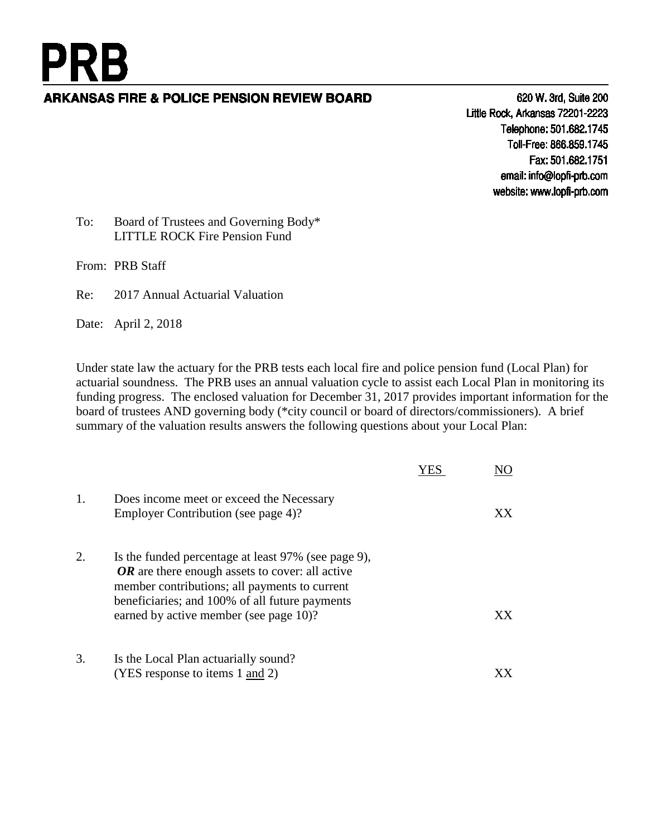# **ARKANSAS FIRE & POLICE PENSION REVIEW BOARD**

620 W. 3rd, Suite 200 Little Rock, Arkansas 72201-2223 Telephone: 501.682.1745 Toll-Free: 866.859.1745 Fax: 501.682.1751 email: info@lopfi-prb.com website: www.lopfi-prb.com

#### To: Board of Trustees and Governing Body\* LITTLE ROCK Fire Pension Fund

From: PRB Staff

**PRB** 

Re: 2017 Annual Actuarial Valuation

Date: April 2, 2018

Under state law the actuary for the PRB tests each local fire and police pension fund (Local Plan) for actuarial soundness. The PRB uses an annual valuation cycle to assist each Local Plan in monitoring its funding progress. The enclosed valuation for December 31, 2017 provides important information for the board of trustees AND governing body (\*city council or board of directors/commissioners). A brief summary of the valuation results answers the following questions about your Local Plan:

| 1. | Does income meet or exceed the Necessary<br>Employer Contribution (see page 4)?                                                                                                                                                                       | ХX |
|----|-------------------------------------------------------------------------------------------------------------------------------------------------------------------------------------------------------------------------------------------------------|----|
| 2. | Is the funded percentage at least 97% (see page 9),<br>$OR$ are there enough assets to cover: all active<br>member contributions; all payments to current<br>beneficiaries; and 100% of all future payments<br>earned by active member (see page 10)? | ХX |
| 3. | Is the Local Plan actuarially sound?<br>(YES response to items 1 and 2)                                                                                                                                                                               |    |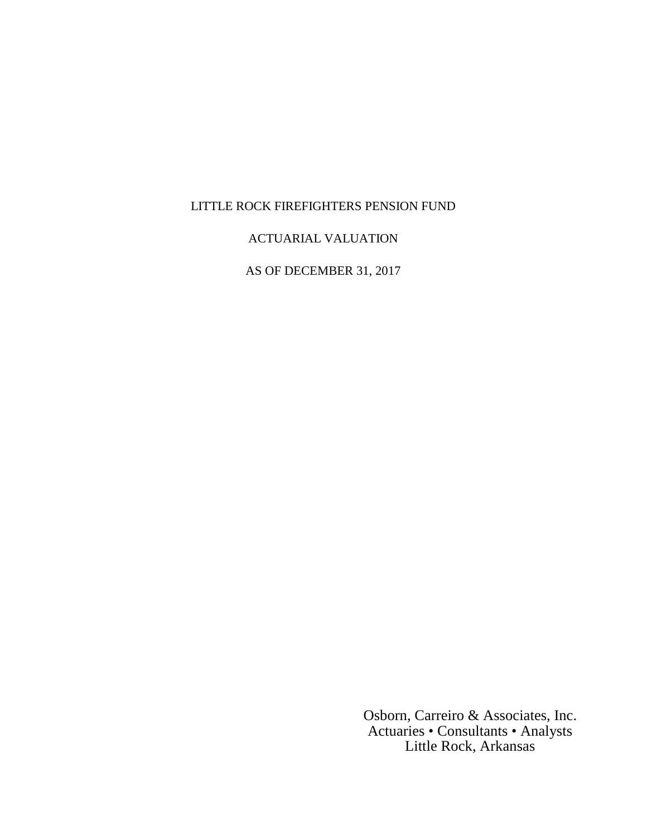## LITTLE ROCK FIREFIGHTERS PENSION FUND

#### ACTUARIAL VALUATION

AS OF DECEMBER 31, 2017

Osborn, Carreiro & Associates, Inc. Actuaries • Consultants • Analysts Little Rock, Arkansas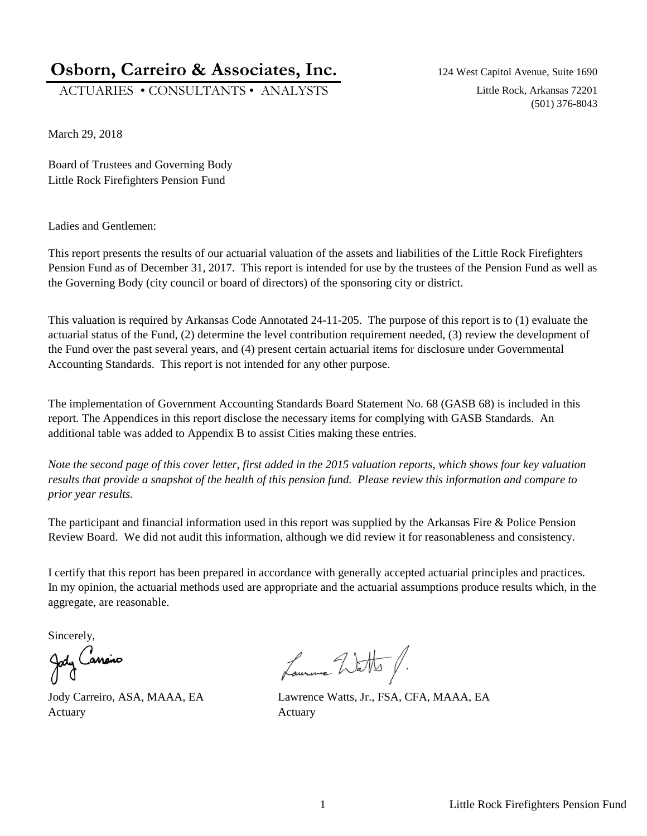# **Osborn, Carreiro & Associates, Inc.** 124 West Capitol Avenue, Suite 1690

ACTUARIES • CONSULTANTS • ANALYSTS Little Rock, Arkansas 72201

(501) 376-8043

March 29, 2018

Board of Trustees and Governing Body Little Rock Firefighters Pension Fund

Ladies and Gentlemen:

This report presents the results of our actuarial valuation of the assets and liabilities of the Little Rock Firefighters Pension Fund as of December 31, 2017. This report is intended for use by the trustees of the Pension Fund as well as the Governing Body (city council or board of directors) of the sponsoring city or district.

This valuation is required by Arkansas Code Annotated 24-11-205. The purpose of this report is to (1) evaluate the actuarial status of the Fund, (2) determine the level contribution requirement needed, (3) review the development of the Fund over the past several years, and (4) present certain actuarial items for disclosure under Governmental Accounting Standards. This report is not intended for any other purpose.

The implementation of Government Accounting Standards Board Statement No. 68 (GASB 68) is included in this report. The Appendices in this report disclose the necessary items for complying with GASB Standards. An additional table was added to Appendix B to assist Cities making these entries.

*Note the second page of this cover letter, first added in the 2015 valuation reports, which shows four key valuation results that provide a snapshot of the health of this pension fund. Please review this information and compare to prior year results.*

The participant and financial information used in this report was supplied by the Arkansas Fire  $\&$  Police Pension Review Board. We did not audit this information, although we did review it for reasonableness and consistency.

I certify that this report has been prepared in accordance with generally accepted actuarial principles and practices. In my opinion, the actuarial methods used are appropriate and the actuarial assumptions produce results which, in the aggregate, are reasonable.

Sincerely,<br>Jody Caneiro

Actuary **Actuary** Actuary

Laurence Watts f.

Jody Carreiro, ASA, MAAA, EA Lawrence Watts, Jr., FSA, CFA, MAAA, EA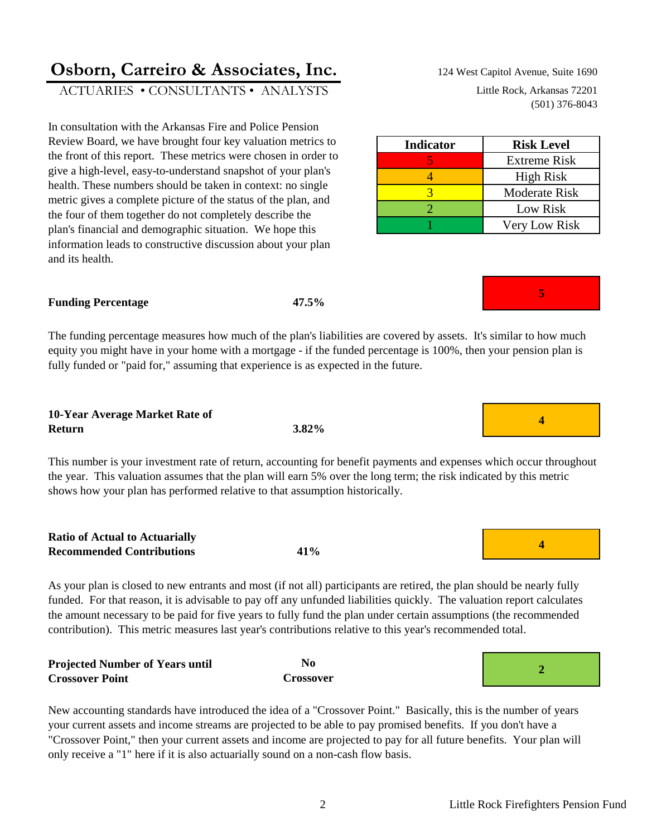# **Osborn, Carreiro & Associates, Inc.** 124 West Capitol Avenue, Suite 1690

ACTUARIES • CONSULTANTS • ANALYSTS Little Rock, Arkansas 72201

In consultation with the Arkansas Fire and Police Pension Review Board, we have brought four key valuation metrics to the front of this report. These metrics were chosen in order to give a high-level, easy-to-understand snapshot of your plan's health. These numbers should be taken in context: no single metric gives a complete picture of the status of the plan, and the four of them together do not completely describe the plan's financial and demographic situation. We hope this information leads to constructive discussion about your plan and its health.

#### **Funding Percentage**

The funding percentage measures how much of the plan's liabilities are covered by assets. It's similar to how much equity you might have in your home with a mortgage - if the funded percentage is 100%, then your pension plan is fully funded or "paid for," assuming that experience is as expected in the future.

**47.5%**

#### **10-Year Average Market Rate of Return**

This number is your investment rate of return, accounting for benefit payments and expenses which occur throughout the year. This valuation assumes that the plan will earn 5% over the long term; the risk indicated by this metric shows how your plan has performed relative to that assumption historically.

**Ratio of Actual to Actuarially Recommended Contributions**

**Crossover Point**

As your plan is closed to new entrants and most (if not all) participants are retired, the plan should be nearly fully funded. For that reason, it is advisable to pay off any unfunded liabilities quickly. The valuation report calculates the amount necessary to be paid for five years to fully fund the plan under certain assumptions (the recommended contribution). This metric measures last year's contributions relative to this year's recommended total.

| New accounting standards have introduced the idea of a "Crossover Point." Basically, this is the number of years    |
|---------------------------------------------------------------------------------------------------------------------|
| your current assets and income streams are projected to be able to pay promised benefits. If you don't have a       |
| "Crossover Point," then your current assets and income are projected to pay for all future benefits. Your plan will |
| only receive a "1" here if it is also actuarially sound on a non-cash flow basis.                                   |

#### **No Crossover 2 Projected Number of Years until**



**5**



(501) 376-8043

| <b>Indicator</b> | <b>Risk Level</b>   |
|------------------|---------------------|
|                  | <b>Extreme Risk</b> |
|                  | <b>High Risk</b>    |
|                  | Moderate Risk       |
|                  | Low Risk            |
|                  | Very Low Risk       |



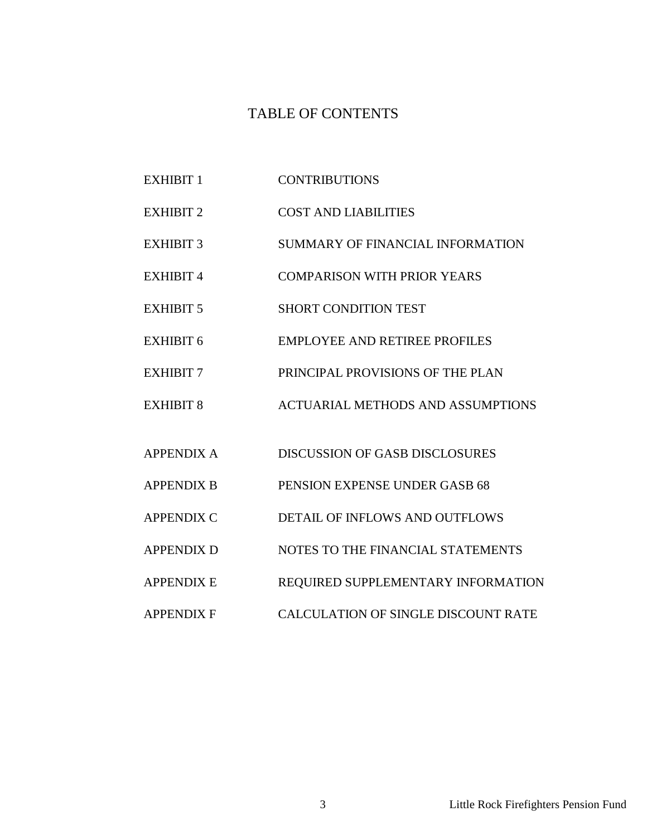### TABLE OF CONTENTS

- EXHIBIT 1 CONTRIBUTIONS
- EXHIBIT 2 COST AND LIABILITIES
- EXHIBIT 3 SUMMARY OF FINANCIAL INFORMATION
- EXHIBIT 4 COMPARISON WITH PRIOR YEARS
- EXHIBIT 5 SHORT CONDITION TEST
- EXHIBIT 6 EMPLOYEE AND RETIREE PROFILES
- EXHIBIT 7 PRINCIPAL PROVISIONS OF THE PLAN
- EXHIBIT 8 ACTUARIAL METHODS AND ASSUMPTIONS
- APPENDIX A DISCUSSION OF GASB DISCLOSURES
- APPENDIX B PENSION EXPENSE UNDER GASB 68
- APPENDIX C DETAIL OF INFLOWS AND OUTFLOWS
- APPENDIX D NOTES TO THE FINANCIAL STATEMENTS
- APPENDIX E REQUIRED SUPPLEMENTARY INFORMATION
- APPENDIX F CALCULATION OF SINGLE DISCOUNT RATE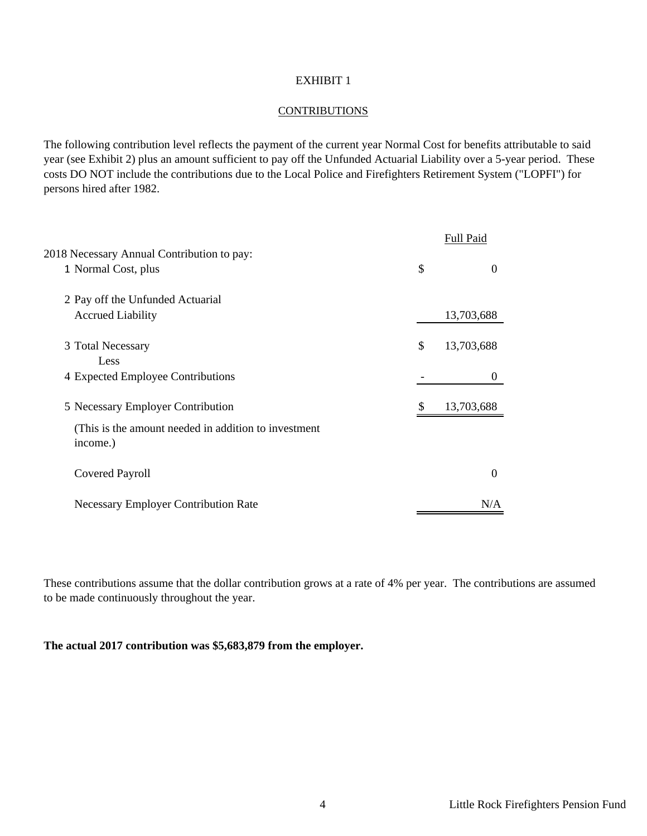#### **CONTRIBUTIONS**

The following contribution level reflects the payment of the current year Normal Cost for benefits attributable to said year (see Exhibit 2) plus an amount sufficient to pay off the Unfunded Actuarial Liability over a 5-year period. These costs DO NOT include the contributions due to the Local Police and Firefighters Retirement System ("LOPFI") for persons hired after 1982.

|                                                                  | Full Paid        |
|------------------------------------------------------------------|------------------|
| 2018 Necessary Annual Contribution to pay:                       |                  |
| 1 Normal Cost, plus                                              | \$<br>$\Omega$   |
| 2 Pay off the Unfunded Actuarial                                 |                  |
| <b>Accrued Liability</b>                                         | 13,703,688       |
| 3 Total Necessary                                                | \$<br>13,703,688 |
| Less                                                             |                  |
| 4 Expected Employee Contributions                                | $\theta$         |
| 5 Necessary Employer Contribution                                | 13,703,688       |
| (This is the amount needed in addition to investment<br>income.) |                  |
| <b>Covered Payroll</b>                                           | $\Omega$         |
| <b>Necessary Employer Contribution Rate</b>                      | N/A              |

These contributions assume that the dollar contribution grows at a rate of 4% per year. The contributions are assumed to be made continuously throughout the year.

**The actual 2017 contribution was \$5,683,879 from the employer.**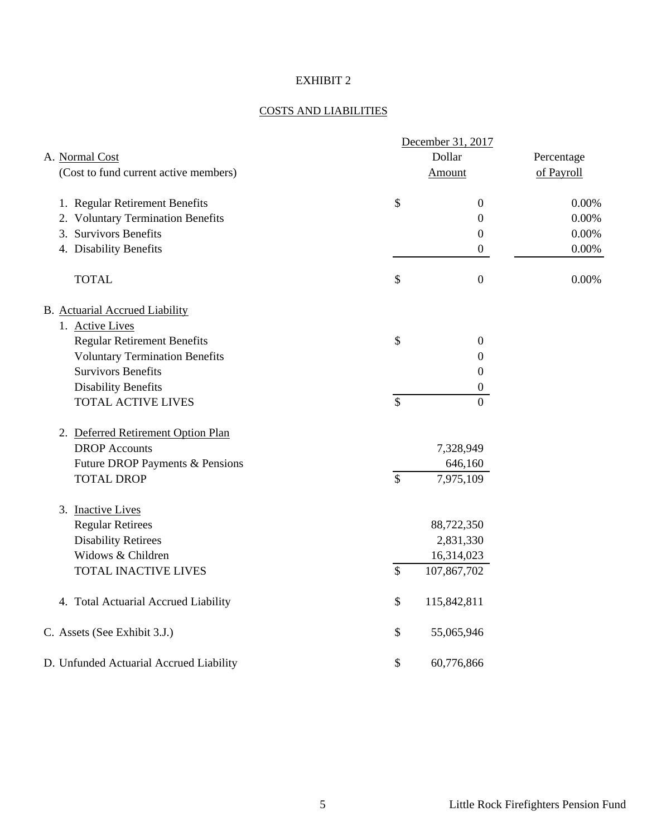#### COSTS AND LIABILITIES

|                                         |                           | December 31, 2017 |            |
|-----------------------------------------|---------------------------|-------------------|------------|
| A. Normal Cost                          |                           | Dollar            | Percentage |
| (Cost to fund current active members)   |                           | Amount            | of Payroll |
| 1. Regular Retirement Benefits          | $\mathcal{S}$             | $\boldsymbol{0}$  | 0.00%      |
| 2. Voluntary Termination Benefits       |                           | $\boldsymbol{0}$  | $0.00\%$   |
| 3. Survivors Benefits                   |                           | $\boldsymbol{0}$  | 0.00%      |
| 4. Disability Benefits                  |                           | $\mathbf{0}$      | $0.00\%$   |
| <b>TOTAL</b>                            | \$                        | $\boldsymbol{0}$  | 0.00%      |
| B. Actuarial Accrued Liability          |                           |                   |            |
| 1. Active Lives                         |                           |                   |            |
| <b>Regular Retirement Benefits</b>      | \$                        | $\boldsymbol{0}$  |            |
| <b>Voluntary Termination Benefits</b>   |                           | 0                 |            |
| <b>Survivors Benefits</b>               |                           | $\boldsymbol{0}$  |            |
| <b>Disability Benefits</b>              |                           | $\boldsymbol{0}$  |            |
| <b>TOTAL ACTIVE LIVES</b>               | $\mathcal{S}$             | $\Omega$          |            |
| 2. Deferred Retirement Option Plan      |                           |                   |            |
| <b>DROP</b> Accounts                    |                           | 7,328,949         |            |
| Future DROP Payments & Pensions         |                           | 646,160           |            |
| <b>TOTAL DROP</b>                       | $\overline{\mathcal{S}}$  | 7,975,109         |            |
| 3. Inactive Lives                       |                           |                   |            |
| <b>Regular Retirees</b>                 |                           | 88,722,350        |            |
| <b>Disability Retirees</b>              |                           | 2,831,330         |            |
| Widows & Children                       |                           | 16,314,023        |            |
| TOTAL INACTIVE LIVES                    | $\mathcal{S}$             | 107,867,702       |            |
| 4. Total Actuarial Accrued Liability    | \$                        | 115,842,811       |            |
| C. Assets (See Exhibit 3.J.)            | \$                        | 55,065,946        |            |
| D. Unfunded Actuarial Accrued Liability | $\boldsymbol{\mathsf{S}}$ | 60,776,866        |            |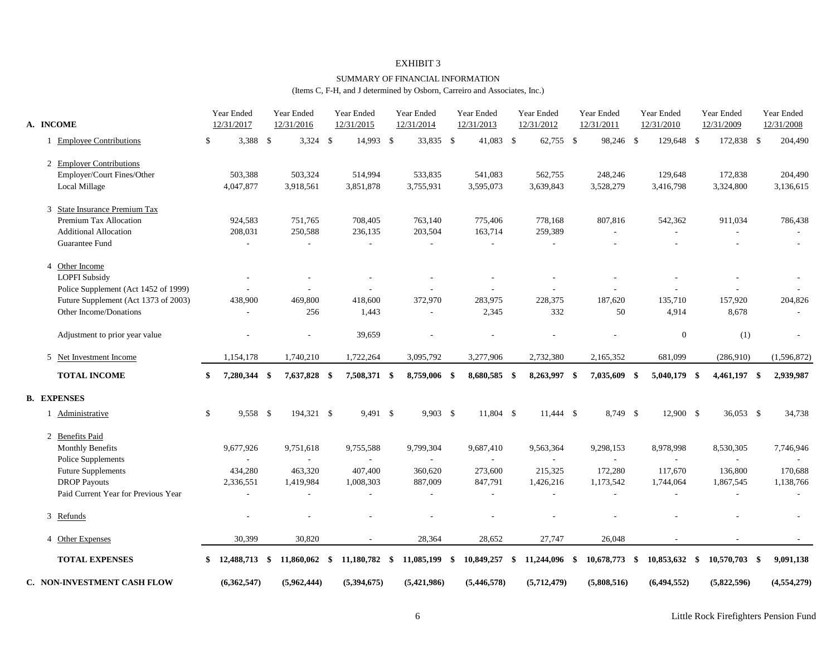#### SUMMARY OF FINANCIAL INFORMATION

(Items C, F-H, and J determined by Osborn, Carreiro and Associates, Inc.)

| A. INCOME                            | Year Ended<br>12/31/2017 | Year Ended<br>12/31/2016 | Year Ended<br>12/31/2015 | Year Ended<br>12/31/2014 | Year Ended<br>12/31/2013 | Year Ended<br>12/31/2012 | Year Ended<br>12/31/2011 | Year Ended<br>12/31/2010 | Year Ended<br>12/31/2009 | Year Ended<br>12/31/2008 |
|--------------------------------------|--------------------------|--------------------------|--------------------------|--------------------------|--------------------------|--------------------------|--------------------------|--------------------------|--------------------------|--------------------------|
| 1 Employee Contributions             | \$<br>3,388 \$           | $3,324$ \$               | 14,993 \$                | 33,835 \$                | 41,083 \$                | 62,755 \$                | 98,246 \$                | 129,648 \$               | 172,838 \$               | 204,490                  |
| 2 Employer Contributions             |                          |                          |                          |                          |                          |                          |                          |                          |                          |                          |
| Employer/Court Fines/Other           | 503,388                  | 503,324                  | 514,994                  | 533,835                  | 541,083                  | 562,755                  | 248,246                  | 129,648                  | 172,838                  | 204,490                  |
| Local Millage                        | 4,047,877                | 3,918,561                | 3,851,878                | 3,755,931                | 3,595,073                | 3,639,843                | 3,528,279                | 3,416,798                | 3,324,800                | 3,136,615                |
| 3 State Insurance Premium Tax        |                          |                          |                          |                          |                          |                          |                          |                          |                          |                          |
| Premium Tax Allocation               | 924,583                  | 751,765                  | 708,405                  | 763,140                  | 775,406                  | 778,168                  | 807,816                  | 542,362                  | 911,034                  | 786,438                  |
| <b>Additional Allocation</b>         | 208,031                  | 250,588                  | 236,135                  | 203,504                  | 163,714                  | 259,389                  |                          |                          | ÷                        |                          |
| Guarantee Fund                       |                          |                          | ٠                        |                          |                          |                          |                          |                          |                          |                          |
| 4 Other Income                       |                          |                          |                          |                          |                          |                          |                          |                          |                          |                          |
| <b>LOPFI</b> Subsidy                 |                          |                          |                          |                          |                          |                          |                          |                          |                          |                          |
| Police Supplement (Act 1452 of 1999) |                          |                          |                          |                          |                          |                          |                          |                          | $\overline{\phantom{a}}$ |                          |
| Future Supplement (Act 1373 of 2003) | 438,900                  | 469,800                  | 418,600                  | 372,970                  | 283,975                  | 228,375                  | 187,620                  | 135,710                  | 157,920                  | 204,826                  |
| Other Income/Donations               |                          | 256                      | 1,443                    | $\sim$                   | 2,345                    | 332                      | 50                       | 4,914                    | 8,678                    |                          |
| Adjustment to prior year value       |                          |                          | 39,659                   |                          |                          |                          |                          | $\boldsymbol{0}$         | (1)                      |                          |
| 5 Net Investment Income              | 1,154,178                | 1,740,210                | 1,722,264                | 3,095,792                | 3,277,906                | 2,732,380                | 2,165,352                | 681,099                  | (286,910)                | (1,596,872)              |
| <b>TOTAL INCOME</b>                  | \$<br>7,280,344 \$       | 7,637,828 \$             | 7,508,371 \$             | 8,759,006 \$             | 8,680,585 \$             | 8,263,997 \$             | 7,035,609 \$             | 5,040,179 \$             | 4,461,197 \$             | 2,939,987                |
| <b>B. EXPENSES</b>                   |                          |                          |                          |                          |                          |                          |                          |                          |                          |                          |
| 1 Administrative                     | \$<br>9,558 \$           | 194.321 \$               | 9,491 \$                 | $9.903$ \$               | 11.804 \$                | $11.444$ \$              | 8.749 \$                 | 12,900 \$                | $36,053$ \$              | 34,738                   |
| 2 Benefits Paid                      |                          |                          |                          |                          |                          |                          |                          |                          |                          |                          |
| <b>Monthly Benefits</b>              | 9,677,926                | 9,751,618                | 9,755,588                | 9,799,304                | 9,687,410                | 9,563,364                | 9,298,153                | 8,978,998                | 8,530,305                | 7,746,946                |
| <b>Police Supplements</b>            |                          |                          |                          |                          | $\overline{\phantom{a}}$ |                          |                          |                          | $\sim$                   |                          |
| <b>Future Supplements</b>            | 434,280                  | 463,320                  | 407,400                  | 360,620                  | 273,600                  | 215,325                  | 172,280                  | 117,670                  | 136,800                  | 170,688                  |
| <b>DROP</b> Payouts                  | 2,336,551                | 1,419,984                | 1,008,303                | 887,009                  | 847,791                  | 1,426,216                | 1,173,542                | 1,744,064                | 1,867,545                | 1,138,766                |
| Paid Current Year for Previous Year  |                          |                          |                          |                          |                          |                          |                          |                          | $\overline{\phantom{a}}$ |                          |
| 3 Refunds                            |                          |                          |                          |                          |                          |                          |                          |                          |                          |                          |
| 4 Other Expenses                     | 30,399                   | 30,820                   |                          | 28,364                   | 28,652                   | 27,747                   | 26,048                   |                          | $\overline{\phantom{a}}$ |                          |
| <b>TOTAL EXPENSES</b>                | $$12,488,713$ \\$        | $11,860,062$ \$          | 11,180,782 \$            | 11,085,199               | \$<br>10,849,257 \$      | 11,244,096 \$            | $10,678,773$ \$          | 10,853,632 \$            | $10,570,703$ \$          | 9,091,138                |
| <b>C. NON-INVESTMENT CASH FLOW</b>   | (6,362,547)              | (5,962,444)              | (5,394,675)              | (5,421,986)              | (5, 446, 578)            | (5,712,479)              | (5,808,516)              | (6.494.552)              | (5,822,596)              | (4,554,279)              |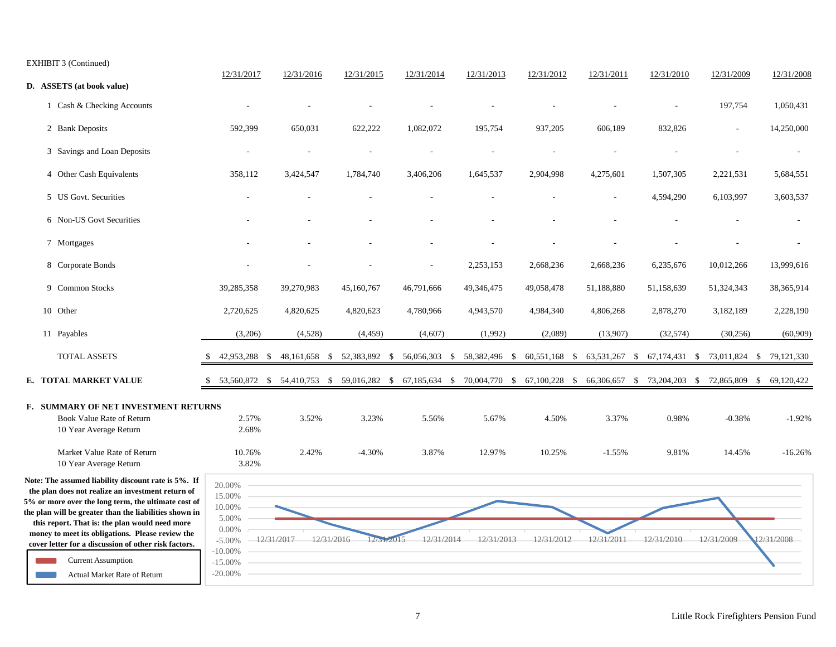EXHIBIT 3 (Continued)

|                                                                                                                                                                                                                                                                                                                                                                                                                                                      |                                                                                                      | 12/31/2017      | 12/31/2016 | 12/31/2015                                                                                                      | 12/31/2014                  | 12/31/2013 | 12/31/2012    | 12/31/2011    | 12/31/2010    | 12/31/2009               | 12/31/2008 |
|------------------------------------------------------------------------------------------------------------------------------------------------------------------------------------------------------------------------------------------------------------------------------------------------------------------------------------------------------------------------------------------------------------------------------------------------------|------------------------------------------------------------------------------------------------------|-----------------|------------|-----------------------------------------------------------------------------------------------------------------|-----------------------------|------------|---------------|---------------|---------------|--------------------------|------------|
| D. ASSETS (at book value)                                                                                                                                                                                                                                                                                                                                                                                                                            |                                                                                                      |                 |            |                                                                                                                 |                             |            |               |               |               |                          |            |
| 1 Cash & Checking Accounts                                                                                                                                                                                                                                                                                                                                                                                                                           |                                                                                                      |                 |            |                                                                                                                 |                             |            |               |               |               | 197,754                  | 1,050,431  |
| 2 Bank Deposits                                                                                                                                                                                                                                                                                                                                                                                                                                      |                                                                                                      | 592,399         | 650,031    | 622,222                                                                                                         | 1,082,072                   | 195,754    | 937,205       | 606,189       | 832,826       | $\overline{\phantom{a}}$ | 14,250,000 |
| 3 Savings and Loan Deposits                                                                                                                                                                                                                                                                                                                                                                                                                          |                                                                                                      |                 |            |                                                                                                                 |                             |            |               |               |               |                          |            |
| 4 Other Cash Equivalents                                                                                                                                                                                                                                                                                                                                                                                                                             |                                                                                                      | 358,112         | 3,424,547  | 1,784,740                                                                                                       | 3,406,206                   | 1,645,537  | 2,904,998     | 4,275,601     | 1,507,305     | 2,221,531                | 5,684,551  |
| 5 US Govt. Securities                                                                                                                                                                                                                                                                                                                                                                                                                                |                                                                                                      |                 |            |                                                                                                                 |                             |            |               |               | 4,594,290     | 6,103,997                | 3,603,537  |
| 6 Non-US Govt Securities                                                                                                                                                                                                                                                                                                                                                                                                                             |                                                                                                      |                 |            |                                                                                                                 |                             |            |               |               |               |                          |            |
| 7 Mortgages                                                                                                                                                                                                                                                                                                                                                                                                                                          |                                                                                                      |                 |            |                                                                                                                 |                             |            |               |               |               |                          |            |
| 8 Corporate Bonds                                                                                                                                                                                                                                                                                                                                                                                                                                    |                                                                                                      |                 |            |                                                                                                                 |                             | 2,253,153  | 2,668,236     | 2,668,236     | 6,235,676     | 10,012,266               | 13,999,616 |
| 9 Common Stocks                                                                                                                                                                                                                                                                                                                                                                                                                                      |                                                                                                      | 39,285,358      | 39,270,983 | 45,160,767                                                                                                      | 46,791,666                  | 49,346,475 | 49,058,478    | 51,188,880    | 51,158,639    | 51,324,343               | 38,365,914 |
| 10 Other                                                                                                                                                                                                                                                                                                                                                                                                                                             |                                                                                                      | 2,720,625       | 4,820,625  | 4,820,623                                                                                                       | 4,780,966                   | 4,943,570  | 4,984,340     | 4,806,268     | 2,878,270     | 3,182,189                | 2,228,190  |
| 11 Payables                                                                                                                                                                                                                                                                                                                                                                                                                                          |                                                                                                      | (3,206)         | (4,528)    | (4, 459)                                                                                                        | (4,607)                     | (1,992)    | (2,089)       | (13,907)      | (32, 574)     | (30, 256)                | (60, 909)  |
| <b>TOTAL ASSETS</b>                                                                                                                                                                                                                                                                                                                                                                                                                                  |                                                                                                      |                 |            | 42,953,288 \$ 48,161,658 \$ 52,383,892 \$                                                                       | 56,056,303 \$ 58,382,496 \$ |            | 60,551,168 \$ | 63,531,267 \$ | 67,174,431 \$ | 73,011,824 \$ 79,121,330 |            |
| E. TOTAL MARKET VALUE                                                                                                                                                                                                                                                                                                                                                                                                                                |                                                                                                      |                 |            | 53,560,872 \$ 54,410,753 \$ 59,016,282 \$ 67,185,634 \$ 70,004,770 \$ 67,100,228 \$ 66,306,657 \$ 73,204,203 \$ |                             |            |               |               |               | 72,865,809 \$            | 69,120,422 |
| F. SUMMARY OF NET INVESTMENT RETURNS<br>Book Value Rate of Return<br>10 Year Average Return                                                                                                                                                                                                                                                                                                                                                          |                                                                                                      | 2.57%<br>2.68%  | 3.52%      | 3.23%                                                                                                           | 5.56%                       | 5.67%      | 4.50%         | 3.37%         | 0.98%         | $-0.38%$                 | $-1.92%$   |
| Market Value Rate of Return<br>10 Year Average Return                                                                                                                                                                                                                                                                                                                                                                                                |                                                                                                      | 10.76%<br>3.82% | 2.42%      | $-4.30%$                                                                                                        | 3.87%                       | 12.97%     | 10.25%        | $-1.55%$      | 9.81%         | 14.45%                   | $-16.26%$  |
| Note: The assumed liability discount rate is 5%. If<br>the plan does not realize an investment return of<br>5% or more over the long term, the ultimate cost of<br>the plan will be greater than the liabilities shown in<br>this report. That is: the plan would need more<br>money to meet its obligations. Please review the<br>cover letter for a discussion of other risk factors.<br><b>Current Assumption</b><br>Actual Market Rate of Return | 20.00%<br>15.00%<br>10.00%<br>5.00%<br>$0.00\%$<br>$-5.00%$<br>$-10.00\%$<br>$-15.00%$<br>$-20.00\%$ |                 | 12/31/2017 | 12/31/2016<br>12/31/2015                                                                                        | 12/31/2014                  | 12/31/2013 | 12/31/2012    | 12/31/2011    | 12/31/2010    | 12/31/2009               | 12/31/2008 |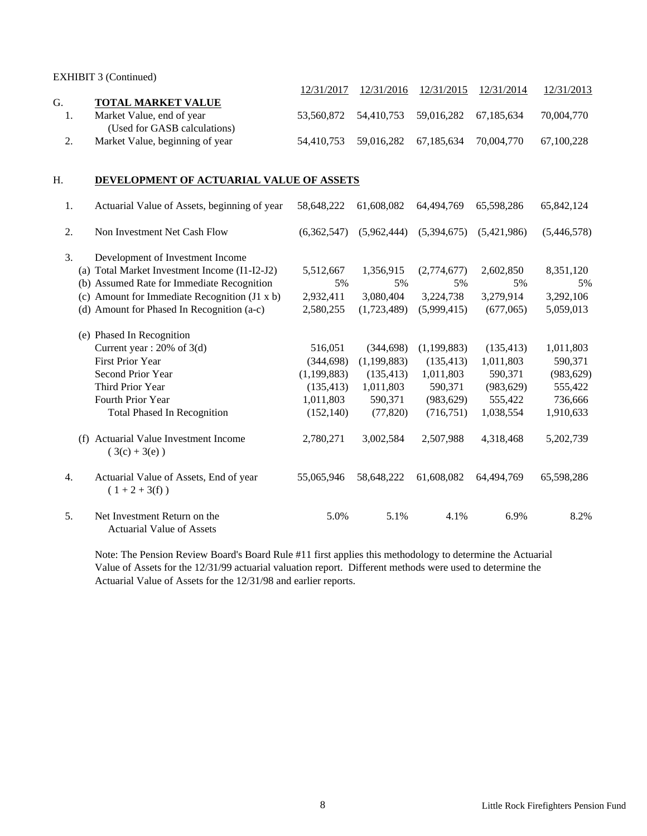EXHIBIT 3 (Continued)

|    |                                 | 12/31/2017 |                                             | 12/31/2016 12/31/2015 12/31/2014 |            | 12/31/2013 |
|----|---------------------------------|------------|---------------------------------------------|----------------------------------|------------|------------|
| G. | <b>TOTAL MARKET VALUE</b>       |            |                                             |                                  |            |            |
|    | Market Value, end of year       |            | 53,560,872 54,410,753 59,016,282 67,185,634 |                                  |            | 70,004,770 |
|    | (Used for GASB calculations)    |            |                                             |                                  |            |            |
|    | Market Value, beginning of year |            | 54,410,753 59,016,282 67,185,634            |                                  | 70.004.770 | 67.100.228 |

#### H. **DEVELOPMENT OF ACTUARIAL VALUE OF ASSETS**

| 1.  | Actuarial Value of Assets, beginning of year                     | 58,648,222    | 61,608,082    | 64,494,769  | 65,598,286  | 65,842,124  |
|-----|------------------------------------------------------------------|---------------|---------------|-------------|-------------|-------------|
| 2.  | Non Investment Net Cash Flow                                     | (6,362,547)   | (5.962.444)   | (5,394,675) | (5.421.986) | (5,446,578) |
| 3.  | Development of Investment Income                                 |               |               |             |             |             |
|     | (a) Total Market Investment Income (I1-I2-J2)                    | 5,512,667     | 1,356,915     | (2,774,677) | 2,602,850   | 8,351,120   |
|     | (b) Assumed Rate for Immediate Recognition                       | 5%            | 5%            | 5%          | 5%          | 5%          |
|     | (c) Amount for Immediate Recognition $(J1 x b)$                  | 2,932,411     | 3,080,404     | 3,224,738   | 3,279,914   | 3,292,106   |
|     | (d) Amount for Phased In Recognition (a-c)                       | 2,580,255     | (1,723,489)   | (5,999,415) | (677,065)   | 5,059,013   |
|     | (e) Phased In Recognition                                        |               |               |             |             |             |
|     | Current year : $20\%$ of 3(d)                                    | 516,051       | (344, 698)    | (1,199,883) | (135, 413)  | 1,011,803   |
|     | <b>First Prior Year</b>                                          | (344, 698)    | (1, 199, 883) | (135, 413)  | 1,011,803   | 590,371     |
|     | Second Prior Year                                                | (1, 199, 883) | (135, 413)    | 1,011,803   | 590,371     | (983, 629)  |
|     | Third Prior Year                                                 | (135, 413)    | 1,011,803     | 590,371     | (983, 629)  | 555,422     |
|     | Fourth Prior Year                                                | 1,011,803     | 590,371       | (983, 629)  | 555,422     | 736,666     |
|     | <b>Total Phased In Recognition</b>                               | (152, 140)    | (77, 820)     | (716, 751)  | 1,038,554   | 1,910,633   |
| (f) | Actuarial Value Investment Income<br>$(3(c) + 3(e))$             | 2,780,271     | 3,002,584     | 2,507,988   | 4,318,468   | 5,202,739   |
| 4.  | Actuarial Value of Assets, End of year<br>$(1+2+3(f))$           | 55,065,946    | 58,648,222    | 61,608,082  | 64,494,769  | 65,598,286  |
| 5.  | Net Investment Return on the<br><b>Actuarial Value of Assets</b> | 5.0%          | 5.1%          | 4.1%        | 6.9%        | 8.2%        |

Note: The Pension Review Board's Board Rule #11 first applies this methodology to determine the Actuarial Value of Assets for the 12/31/99 actuarial valuation report. Different methods were used to determine the Actuarial Value of Assets for the 12/31/98 and earlier reports.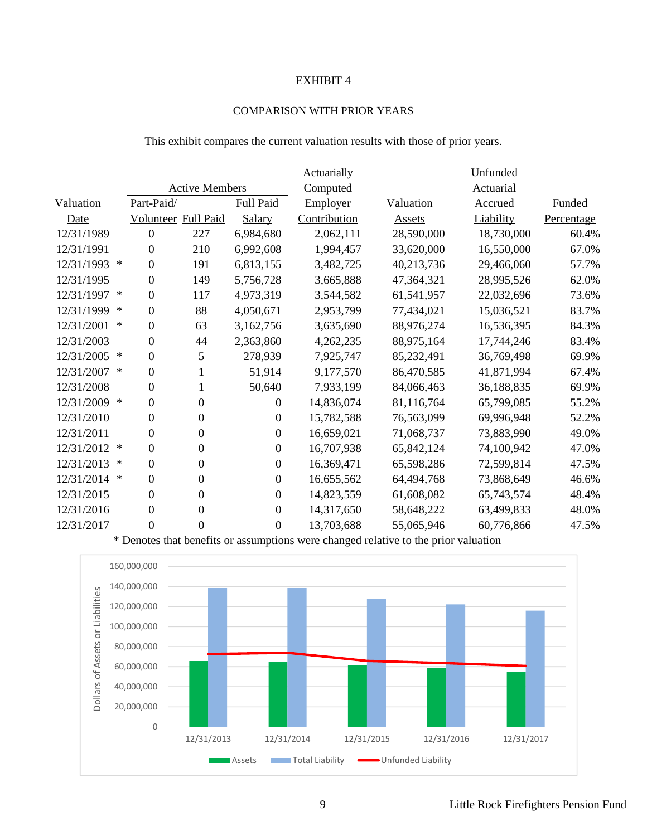#### COMPARISON WITH PRIOR YEARS

This exhibit compares the current valuation results with those of prior years.

|             |        |                  |                       |                  | Actuarially  |            | Unfunded   |            |
|-------------|--------|------------------|-----------------------|------------------|--------------|------------|------------|------------|
|             |        |                  | <b>Active Members</b> |                  | Computed     |            | Actuarial  |            |
| Valuation   |        | Part-Paid/       |                       | Full Paid        | Employer     | Valuation  | Accrued    | Funded     |
| <b>Date</b> |        | Volunteer        | Full Paid             | Salary           | Contribution | Assets     | Liability  | Percentage |
| 12/31/1989  |        | 0                | 227                   | 6,984,680        | 2,062,111    | 28,590,000 | 18,730,000 | 60.4%      |
| 12/31/1991  |        | $\theta$         | 210                   | 6,992,608        | 1,994,457    | 33,620,000 | 16,550,000 | 67.0%      |
| 12/31/1993  | $\ast$ | 0                | 191                   | 6,813,155        | 3,482,725    | 40,213,736 | 29,466,060 | 57.7%      |
| 12/31/1995  |        | 0                | 149                   | 5,756,728        | 3,665,888    | 47,364,321 | 28,995,526 | 62.0%      |
| 12/31/1997  | $\ast$ | $\boldsymbol{0}$ | 117                   | 4,973,319        | 3,544,582    | 61,541,957 | 22,032,696 | 73.6%      |
| 12/31/1999  | $\ast$ | $\boldsymbol{0}$ | 88                    | 4,050,671        | 2,953,799    | 77,434,021 | 15,036,521 | 83.7%      |
| 12/31/2001  | $\ast$ | 0                | 63                    | 3,162,756        | 3,635,690    | 88,976,274 | 16,536,395 | 84.3%      |
| 12/31/2003  |        | 0                | 44                    | 2,363,860        | 4,262,235    | 88,975,164 | 17,744,246 | 83.4%      |
| 12/31/2005  | $\ast$ | 0                | 5                     | 278,939          | 7,925,747    | 85,232,491 | 36,769,498 | 69.9%      |
| 12/31/2007  | $\ast$ | $\boldsymbol{0}$ |                       | 51,914           | 9,177,570    | 86,470,585 | 41,871,994 | 67.4%      |
| 12/31/2008  |        | $\overline{0}$   |                       | 50,640           | 7,933,199    | 84,066,463 | 36,188,835 | 69.9%      |
| 12/31/2009  | $\ast$ | 0                | $\overline{0}$        | $\mathbf{0}$     | 14,836,074   | 81,116,764 | 65,799,085 | 55.2%      |
| 12/31/2010  |        | $\theta$         | $\overline{0}$        | $\boldsymbol{0}$ | 15,782,588   | 76,563,099 | 69,996,948 | 52.2%      |
| 12/31/2011  |        | 0                | $\overline{0}$        | $\boldsymbol{0}$ | 16,659,021   | 71,068,737 | 73,883,990 | 49.0%      |
| 12/31/2012  | $\ast$ | 0                | $\overline{0}$        | $\boldsymbol{0}$ | 16,707,938   | 65,842,124 | 74,100,942 | 47.0%      |
| 12/31/2013  | $\ast$ | 0                | $\Omega$              | $\boldsymbol{0}$ | 16,369,471   | 65,598,286 | 72,599,814 | 47.5%      |
| 12/31/2014  | ∗      | 0                | $\boldsymbol{0}$      | $\boldsymbol{0}$ | 16,655,562   | 64,494,768 | 73,868,649 | 46.6%      |
| 12/31/2015  |        | 0                | $\boldsymbol{0}$      | $\boldsymbol{0}$ | 14,823,559   | 61,608,082 | 65,743,574 | 48.4%      |
| 12/31/2016  |        | 0                | $\boldsymbol{0}$      | $\mathbf{0}$     | 14,317,650   | 58,648,222 | 63,499,833 | 48.0%      |
| 12/31/2017  |        | 0                | $\boldsymbol{0}$      | $\boldsymbol{0}$ | 13,703,688   | 55,065,946 | 60,776,866 | 47.5%      |

\* Denotes that benefits or assumptions were changed relative to the prior valuation

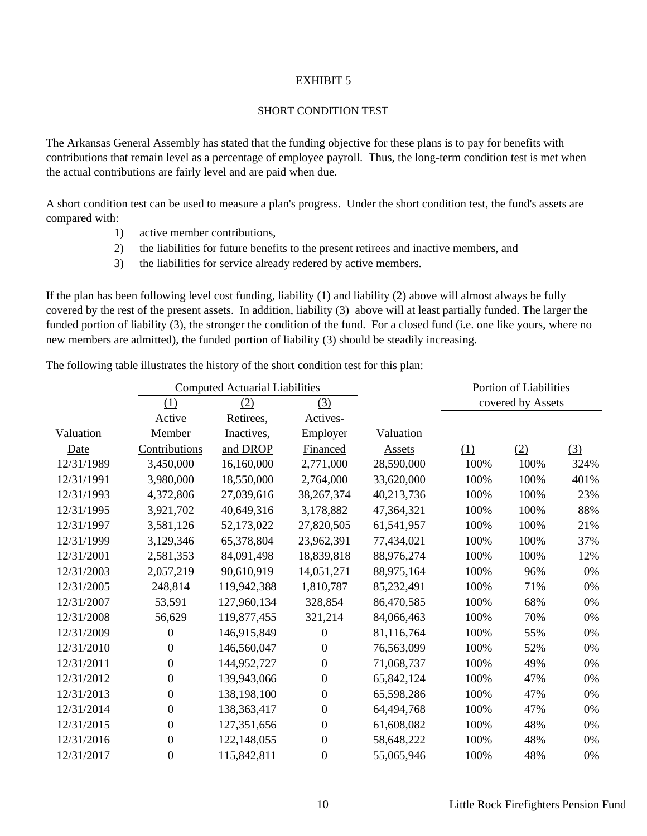#### SHORT CONDITION TEST

The Arkansas General Assembly has stated that the funding objective for these plans is to pay for benefits with contributions that remain level as a percentage of employee payroll. Thus, the long-term condition test is met when the actual contributions are fairly level and are paid when due.

A short condition test can be used to measure a plan's progress. Under the short condition test, the fund's assets are compared with:

- 1) active member contributions,
- 2) the liabilities for future benefits to the present retirees and inactive members, and
- 3) the liabilities for service already redered by active members.

If the plan has been following level cost funding, liability (1) and liability (2) above will almost always be fully covered by the rest of the present assets. In addition, liability (3) above will at least partially funded. The larger the funded portion of liability (3), the stronger the condition of the fund. For a closed fund (i.e. one like yours, where no new members are admitted), the funded portion of liability (3) should be steadily increasing.

The following table illustrates the history of the short condition test for this plan:

|            |                  | <b>Computed Actuarial Liabilities</b> |                  |               |      | Portion of Liabilities |      |
|------------|------------------|---------------------------------------|------------------|---------------|------|------------------------|------|
|            | (1)              | (2)                                   | (3)              |               |      | covered by Assets      |      |
|            | Active           | Retirees,                             | Actives-         |               |      |                        |      |
| Valuation  | Member           | Inactives,                            | Employer         | Valuation     |      |                        |      |
| Date       | Contributions    | and DROP                              | Financed         | <b>Assets</b> | (1)  | (2)                    | (3)  |
| 12/31/1989 | 3,450,000        | 16,160,000                            | 2,771,000        | 28,590,000    | 100% | 100%                   | 324% |
| 12/31/1991 | 3,980,000        | 18,550,000                            | 2,764,000        | 33,620,000    | 100% | 100%                   | 401% |
| 12/31/1993 | 4,372,806        | 27,039,616                            | 38, 267, 374     | 40,213,736    | 100% | 100%                   | 23%  |
| 12/31/1995 | 3,921,702        | 40,649,316                            | 3,178,882        | 47,364,321    | 100% | 100%                   | 88%  |
| 12/31/1997 | 3,581,126        | 52,173,022                            | 27,820,505       | 61,541,957    | 100% | 100%                   | 21%  |
| 12/31/1999 | 3,129,346        | 65,378,804                            | 23,962,391       | 77,434,021    | 100% | 100%                   | 37%  |
| 12/31/2001 | 2,581,353        | 84,091,498                            | 18,839,818       | 88,976,274    | 100% | 100%                   | 12%  |
| 12/31/2003 | 2,057,219        | 90,610,919                            | 14,051,271       | 88,975,164    | 100% | 96%                    | 0%   |
| 12/31/2005 | 248,814          | 119,942,388                           | 1,810,787        | 85,232,491    | 100% | 71%                    | 0%   |
| 12/31/2007 | 53,591           | 127,960,134                           | 328,854          | 86,470,585    | 100% | 68%                    | 0%   |
| 12/31/2008 | 56,629           | 119,877,455                           | 321,214          | 84,066,463    | 100% | 70%                    | 0%   |
| 12/31/2009 | 0                | 146,915,849                           | $\overline{0}$   | 81,116,764    | 100% | 55%                    | 0%   |
| 12/31/2010 | 0                | 146,560,047                           | $\overline{0}$   | 76,563,099    | 100% | 52%                    | 0%   |
| 12/31/2011 | $\boldsymbol{0}$ | 144,952,727                           | $\mathbf{0}$     | 71,068,737    | 100% | 49%                    | 0%   |
| 12/31/2012 | $\boldsymbol{0}$ | 139,943,066                           | $\mathbf{0}$     | 65,842,124    | 100% | 47%                    | 0%   |
| 12/31/2013 | $\boldsymbol{0}$ | 138,198,100                           | $\boldsymbol{0}$ | 65,598,286    | 100% | 47%                    | 0%   |
| 12/31/2014 | $\boldsymbol{0}$ | 138,363,417                           | $\mathbf{0}$     | 64,494,768    | 100% | 47%                    | 0%   |
| 12/31/2015 | $\boldsymbol{0}$ | 127,351,656                           | $\boldsymbol{0}$ | 61,608,082    | 100% | 48%                    | 0%   |
| 12/31/2016 | $\boldsymbol{0}$ | 122,148,055                           | $\boldsymbol{0}$ | 58,648,222    | 100% | 48%                    | 0%   |
| 12/31/2017 | $\boldsymbol{0}$ | 115,842,811                           | $\boldsymbol{0}$ | 55,065,946    | 100% | 48%                    | 0%   |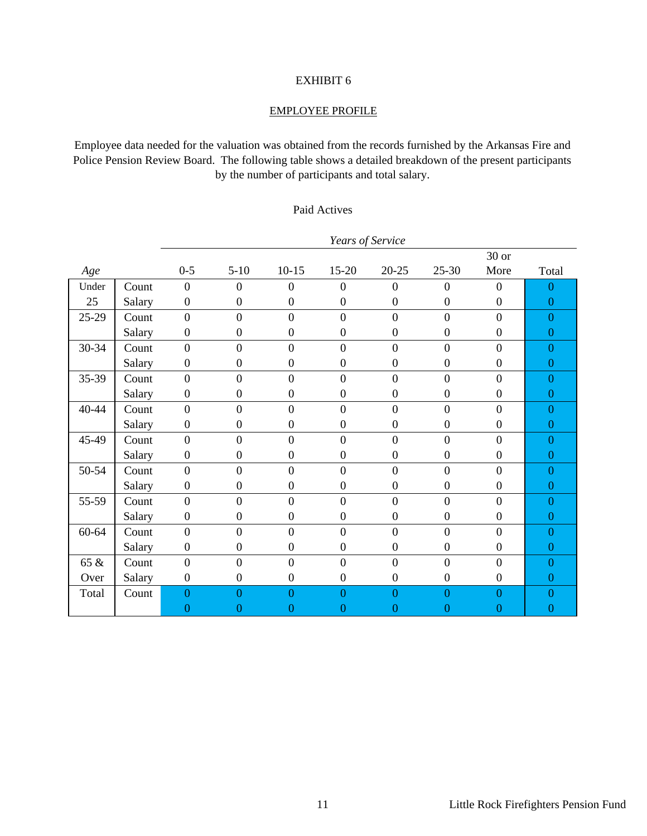#### EMPLOYEE PROFILE

Employee data needed for the valuation was obtained from the records furnished by the Arkansas Fire and Police Pension Review Board. The following table shows a detailed breakdown of the present participants by the number of participants and total salary.

#### Paid Actives

|           |        |                  |                  |                  | Years of Service |                  |                  |                  |                  |
|-----------|--------|------------------|------------------|------------------|------------------|------------------|------------------|------------------|------------------|
|           |        |                  |                  |                  |                  |                  |                  | $30$ or          |                  |
| Age       |        | $0 - 5$          | $5 - 10$         | $10 - 15$        | 15-20            | $20 - 25$        | $25 - 30$        | More             | Total            |
| Under     | Count  | $\boldsymbol{0}$ | $\theta$         | $\overline{0}$   | $\mathbf{0}$     | $\boldsymbol{0}$ | $\boldsymbol{0}$ | $\boldsymbol{0}$ | $\overline{0}$   |
| 25        | Salary | $\boldsymbol{0}$ | $\boldsymbol{0}$ | $\boldsymbol{0}$ | $\boldsymbol{0}$ | $\boldsymbol{0}$ | $\boldsymbol{0}$ | $\boldsymbol{0}$ | $\overline{0}$   |
| 25-29     | Count  | $\overline{0}$   | $\overline{0}$   | $\overline{0}$   | $\overline{0}$   | $\overline{0}$   | $\overline{0}$   | $\overline{0}$   | $\overline{0}$   |
|           | Salary | $\boldsymbol{0}$ | $\boldsymbol{0}$ | $\boldsymbol{0}$ | $\boldsymbol{0}$ | $\boldsymbol{0}$ | $\boldsymbol{0}$ | $\boldsymbol{0}$ | $\mathbf{0}$     |
| 30-34     | Count  | $\overline{0}$   | $\overline{0}$   | $\overline{0}$   | $\overline{0}$   | $\overline{0}$   | $\overline{0}$   | $\overline{0}$   | $\overline{0}$   |
|           | Salary | $\boldsymbol{0}$ | $\boldsymbol{0}$ | $\boldsymbol{0}$ | $\boldsymbol{0}$ | $\boldsymbol{0}$ | $\boldsymbol{0}$ | $\boldsymbol{0}$ | $\mathbf{0}$     |
| 35-39     | Count  | $\overline{0}$   | $\overline{0}$   | $\overline{0}$   | $\overline{0}$   | $\overline{0}$   | $\overline{0}$   | $\overline{0}$   | $\overline{0}$   |
|           | Salary | $\mathbf{0}$     | $\boldsymbol{0}$ | $\boldsymbol{0}$ | $\boldsymbol{0}$ | $\boldsymbol{0}$ | $\boldsymbol{0}$ | $\boldsymbol{0}$ | $\overline{0}$   |
| 40-44     | Count  | $\overline{0}$   | $\overline{0}$   | $\boldsymbol{0}$ | $\overline{0}$   | $\overline{0}$   | $\overline{0}$   | $\overline{0}$   | $\overline{0}$   |
|           | Salary | $\mathbf{0}$     | $\boldsymbol{0}$ | $\boldsymbol{0}$ | $\mathbf{0}$     | $\boldsymbol{0}$ | $\boldsymbol{0}$ | $\overline{0}$   | $\overline{0}$   |
| 45-49     | Count  | $\overline{0}$   | $\overline{0}$   | $\overline{0}$   | $\overline{0}$   | $\overline{0}$   | $\overline{0}$   | $\overline{0}$   | $\overline{0}$   |
|           | Salary | $\boldsymbol{0}$ | $\boldsymbol{0}$ | $\boldsymbol{0}$ | $\boldsymbol{0}$ | $\boldsymbol{0}$ | $\boldsymbol{0}$ | $\boldsymbol{0}$ | $\overline{0}$   |
| 50-54     | Count  | $\overline{0}$   | $\overline{0}$   | $\overline{0}$   | $\overline{0}$   | $\overline{0}$   | $\overline{0}$   | $\overline{0}$   | $\theta$         |
|           | Salary | $\boldsymbol{0}$ | $\boldsymbol{0}$ | $\boldsymbol{0}$ | $\overline{0}$   | $\boldsymbol{0}$ | $\boldsymbol{0}$ | $\boldsymbol{0}$ | $\theta$         |
| 55-59     | Count  | $\overline{0}$   | $\overline{0}$   | $\overline{0}$   | $\overline{0}$   | $\boldsymbol{0}$ | $\boldsymbol{0}$ | $\overline{0}$   | $\overline{0}$   |
|           | Salary | $\boldsymbol{0}$ | $\boldsymbol{0}$ | $\boldsymbol{0}$ | $\boldsymbol{0}$ | $\boldsymbol{0}$ | $\boldsymbol{0}$ | $\boldsymbol{0}$ | $\overline{0}$   |
| $60 - 64$ | Count  | $\overline{0}$   | $\overline{0}$   | $\overline{0}$   | $\overline{0}$   | $\overline{0}$   | $\overline{0}$   | $\overline{0}$   | $\overline{0}$   |
|           | Salary | $\boldsymbol{0}$ | $\boldsymbol{0}$ | $\boldsymbol{0}$ | $\boldsymbol{0}$ | $\boldsymbol{0}$ | $\boldsymbol{0}$ | $\boldsymbol{0}$ | $\boldsymbol{0}$ |
| 65 &      | Count  | $\overline{0}$   | $\overline{0}$   | $\overline{0}$   | $\overline{0}$   | $\overline{0}$   | $\overline{0}$   | $\overline{0}$   | $\overline{0}$   |
| Over      | Salary | $\boldsymbol{0}$ | $\boldsymbol{0}$ | $\boldsymbol{0}$ | $\boldsymbol{0}$ | $\boldsymbol{0}$ | $\boldsymbol{0}$ | $\boldsymbol{0}$ | $\boldsymbol{0}$ |
| Total     | Count  | $\overline{0}$   | 0                | $\Omega$         | $\overline{0}$   | $\overline{0}$   | $\overline{0}$   | 0                | $\Omega$         |
|           |        | $\overline{0}$   | 0                | $\boldsymbol{0}$ | $\overline{0}$   | $\overline{0}$   | $\overline{0}$   | $\overline{0}$   | 0                |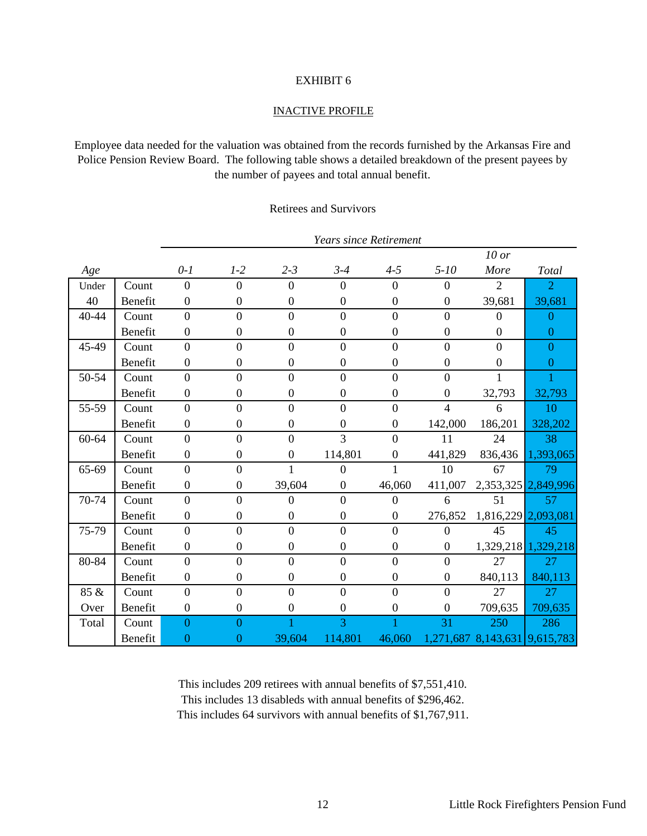#### INACTIVE PROFILE

Employee data needed for the valuation was obtained from the records furnished by the Arkansas Fire and Police Pension Review Board. The following table shows a detailed breakdown of the present payees by the number of payees and total annual benefit.

#### Retirees and Survivors

|       |         |                  | <b>Years since Retirement</b> |                  |                  |                  |                  |                     |                     |
|-------|---------|------------------|-------------------------------|------------------|------------------|------------------|------------------|---------------------|---------------------|
|       |         |                  |                               |                  |                  |                  |                  | $10$ or             |                     |
| Age   |         | $0-1$            | $1-2$                         | $2 - 3$          | $3 - 4$          | $4 - 5$          | $5 - 10$         | More                | Total               |
| Under | Count   | $\overline{0}$   | $\theta$                      | $\Omega$         | $\mathbf{0}$     | $\overline{0}$   | $\overline{0}$   | $\overline{2}$      | $\overline{2}$      |
| 40    | Benefit | $\boldsymbol{0}$ | $\boldsymbol{0}$              | $\boldsymbol{0}$ | $\boldsymbol{0}$ | $\boldsymbol{0}$ | $\boldsymbol{0}$ | 39,681              | 39,681              |
| 40-44 | Count   | $\theta$         | $\overline{0}$                | $\overline{0}$   | $\overline{0}$   | $\overline{0}$   | $\overline{0}$   | $\overline{0}$      | $\overline{0}$      |
|       | Benefit | $\mathbf{0}$     | $\boldsymbol{0}$              | $\boldsymbol{0}$ | $\boldsymbol{0}$ | $\boldsymbol{0}$ | $\boldsymbol{0}$ | $\boldsymbol{0}$    | $\mathbf{0}$        |
| 45-49 | Count   | $\overline{0}$   | $\overline{0}$                | $\overline{0}$   | $\overline{0}$   | $\overline{0}$   | $\overline{0}$   | $\overline{0}$      | $\overline{0}$      |
|       | Benefit | $\mathbf{0}$     | $\boldsymbol{0}$              | $\mathbf{0}$     | $\boldsymbol{0}$ | $\boldsymbol{0}$ | $\mathbf{0}$     | $\boldsymbol{0}$    | $\overline{0}$      |
| 50-54 | Count   | $\theta$         | $\overline{0}$                | $\overline{0}$   | $\overline{0}$   | $\overline{0}$   | $\overline{0}$   | 1                   |                     |
|       | Benefit | $\mathbf{0}$     | $\boldsymbol{0}$              | $\mathbf{0}$     | $\boldsymbol{0}$ | $\boldsymbol{0}$ | $\mathbf{0}$     | 32,793              | 32,793              |
| 55-59 | Count   | $\overline{0}$   | $\overline{0}$                | $\boldsymbol{0}$ | $\boldsymbol{0}$ | $\boldsymbol{0}$ | $\overline{4}$   | 6                   | 10                  |
|       | Benefit | $\mathbf{0}$     | $\boldsymbol{0}$              | $\boldsymbol{0}$ | $\boldsymbol{0}$ | $\boldsymbol{0}$ | 142,000          | 186,201             | 328,202             |
| 60-64 | Count   | $\overline{0}$   | $\overline{0}$                | $\overline{0}$   | $\overline{3}$   | $\overline{0}$   | 11               | 24                  | 38                  |
|       | Benefit | $\mathbf{0}$     | $\boldsymbol{0}$              | $\boldsymbol{0}$ | 114,801          | $\boldsymbol{0}$ | 441,829          | 836,436             | 1,393,065           |
| 65-69 | Count   | $\overline{0}$   | $\boldsymbol{0}$              |                  | $\mathbf{0}$     |                  | 10               | 67                  | 79                  |
|       | Benefit | $\mathbf{0}$     | $\boldsymbol{0}$              | 39,604           | $\boldsymbol{0}$ | 46,060           | 411,007          | 2,353,325           | 2,849,996           |
| 70-74 | Count   | $\theta$         | $\theta$                      | $\Omega$         | $\overline{0}$   | $\overline{0}$   | 6                | 51                  | 57                  |
|       | Benefit | $\mathbf{0}$     | $\boldsymbol{0}$              | $\overline{0}$   | $\boldsymbol{0}$ | $\boldsymbol{0}$ | 276,852          |                     | 1,816,229 2,093,081 |
| 75-79 | Count   | $\theta$         | $\overline{0}$                | $\overline{0}$   | $\overline{0}$   | $\overline{0}$   | $\overline{0}$   | 45                  | 45                  |
|       | Benefit | $\mathbf{0}$     | $\boldsymbol{0}$              | $\boldsymbol{0}$ | $\mathbf{0}$     | $\boldsymbol{0}$ | $\boldsymbol{0}$ | 1,329,218           | 1,329,218           |
| 80-84 | Count   | $\theta$         | $\overline{0}$                | $\overline{0}$   | $\overline{0}$   | $\boldsymbol{0}$ | $\overline{0}$   | 27                  | 27                  |
|       | Benefit | $\mathbf{0}$     | $\boldsymbol{0}$              | $\mathbf{0}$     | $\boldsymbol{0}$ | $\boldsymbol{0}$ | $\boldsymbol{0}$ | 840,113             | 840,113             |
| 85 &  | Count   | $\overline{0}$   | $\overline{0}$                | $\overline{0}$   | $\overline{0}$   | $\overline{0}$   | $\overline{0}$   | 27                  | 27                  |
| Over  | Benefit | $\mathbf{0}$     | $\boldsymbol{0}$              | $\overline{0}$   | $\overline{0}$   | $\boldsymbol{0}$ | $\overline{0}$   | 709,635             | 709,635             |
| Total | Count   | $\overline{0}$   | $\Omega$                      |                  | 3                |                  | 31               | 250                 | 286                 |
|       | Benefit | $\overline{0}$   | $\overline{0}$                | 39,604           | 114,801          | 46,060           |                  | 1,271,687 8,143,631 | 9,615,783           |

This includes 209 retirees with annual benefits of \$7,551,410. This includes 13 disableds with annual benefits of \$296,462. This includes 64 survivors with annual benefits of \$1,767,911.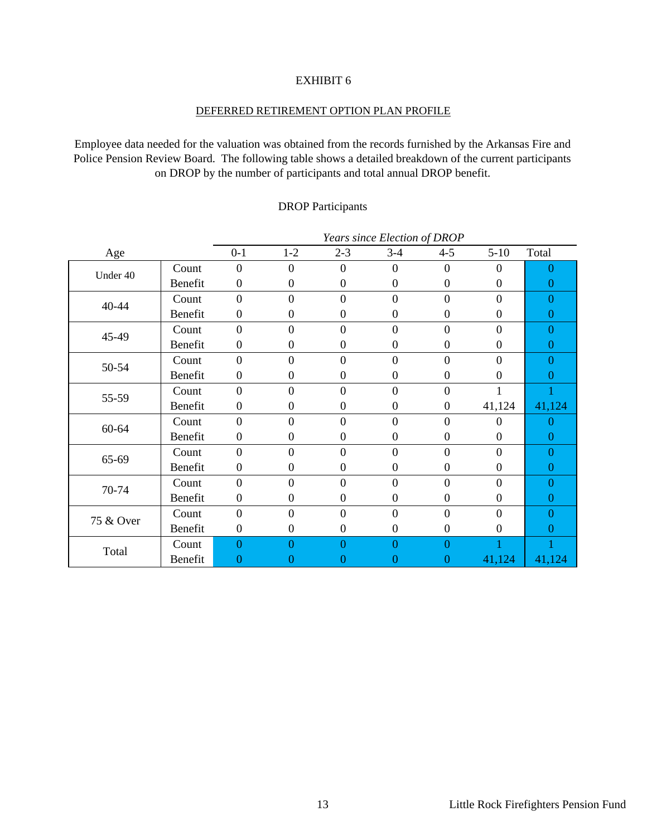#### DEFERRED RETIREMENT OPTION PLAN PROFILE

Employee data needed for the valuation was obtained from the records furnished by the Arkansas Fire and Police Pension Review Board. The following table shows a detailed breakdown of the current participants on DROP by the number of participants and total annual DROP benefit.

#### DROP Participants

|           |         |                  |                  |                  | Years since Election of DROP |                  |                  |                  |
|-----------|---------|------------------|------------------|------------------|------------------------------|------------------|------------------|------------------|
| Age       |         | $0 - 1$          | $1 - 2$          | $2 - 3$          | $3 - 4$                      | $4 - 5$          | $5-10$           | Total            |
|           | Count   | $\boldsymbol{0}$ | $\boldsymbol{0}$ | $\mathbf{0}$     | $\mathbf{0}$                 | $\overline{0}$   | $\theta$         | 0                |
| Under 40  | Benefit | $\boldsymbol{0}$ | $\boldsymbol{0}$ | $\boldsymbol{0}$ | $\boldsymbol{0}$             | $\boldsymbol{0}$ | $\boldsymbol{0}$ | 0                |
| 40-44     | Count   | $\overline{0}$   | $\overline{0}$   | $\overline{0}$   | $\mathbf{0}$                 | $\overline{0}$   | $\overline{0}$   | 0                |
|           | Benefit | $\boldsymbol{0}$ | $\boldsymbol{0}$ | $\mathbf{0}$     | $\boldsymbol{0}$             | $\boldsymbol{0}$ | $\boldsymbol{0}$ | 0                |
| 45-49     | Count   | $\boldsymbol{0}$ | $\boldsymbol{0}$ | $\boldsymbol{0}$ | $\boldsymbol{0}$             | $\boldsymbol{0}$ | $\theta$         | 0                |
|           | Benefit | $\boldsymbol{0}$ | $\boldsymbol{0}$ | $\boldsymbol{0}$ | $\boldsymbol{0}$             | $\boldsymbol{0}$ | $\theta$         | $\Omega$         |
| 50-54     | Count   | $\theta$         | $\mathbf{0}$     | $\mathbf{0}$     | $\boldsymbol{0}$             | $\boldsymbol{0}$ | $\theta$         | 0                |
|           | Benefit | $\boldsymbol{0}$ | $\boldsymbol{0}$ | $\mathbf{0}$     | $\overline{0}$               | $\boldsymbol{0}$ | $\Omega$         | O                |
| 55-59     | Count   | $\overline{0}$   | $\mathbf{0}$     | $\mathbf{0}$     | $\mathbf{0}$                 | $\boldsymbol{0}$ |                  |                  |
|           | Benefit | $\boldsymbol{0}$ | $\boldsymbol{0}$ | $\boldsymbol{0}$ | $\boldsymbol{0}$             | $\boldsymbol{0}$ | 41,124           | 41,124           |
| 60-64     | Count   | $\overline{0}$   | $\overline{0}$   | $\overline{0}$   | $\overline{0}$               | $\boldsymbol{0}$ | $\Omega$         | 0                |
|           | Benefit | $\boldsymbol{0}$ | $\boldsymbol{0}$ | $\boldsymbol{0}$ | $\boldsymbol{0}$             | $\boldsymbol{0}$ | $\boldsymbol{0}$ | $\boldsymbol{0}$ |
| 65-69     | Count   | $\overline{0}$   | $\overline{0}$   | $\mathbf{0}$     | $\boldsymbol{0}$             | $\overline{0}$   | $\Omega$         | 0                |
|           | Benefit | $\boldsymbol{0}$ | $\boldsymbol{0}$ | $\boldsymbol{0}$ | $\boldsymbol{0}$             | $\boldsymbol{0}$ | $\theta$         | 0                |
| 70-74     | Count   | $\overline{0}$   | $\overline{0}$   | $\overline{0}$   | $\overline{0}$               | $\overline{0}$   | $\overline{0}$   | 0                |
|           | Benefit | $\boldsymbol{0}$ | $\boldsymbol{0}$ | $\boldsymbol{0}$ | $\boldsymbol{0}$             | $\boldsymbol{0}$ | $\Omega$         | 0                |
| 75 & Over | Count   | $\overline{0}$   | $\overline{0}$   | $\overline{0}$   | $\mathbf{0}$                 | $\overline{0}$   | $\theta$         | 0                |
|           | Benefit | $\boldsymbol{0}$ | $\boldsymbol{0}$ | $\mathbf{0}$     | $\boldsymbol{0}$             | $\boldsymbol{0}$ | $\Omega$         | $\Omega$         |
| Total     | Count   | $\overline{0}$   | $\overline{0}$   | $\overline{0}$   | $\overline{0}$               | $\overline{0}$   |                  |                  |
|           | Benefit | 0                | 0                | 0                | $\overline{0}$               | $\overline{0}$   | 41,124           | 41,124           |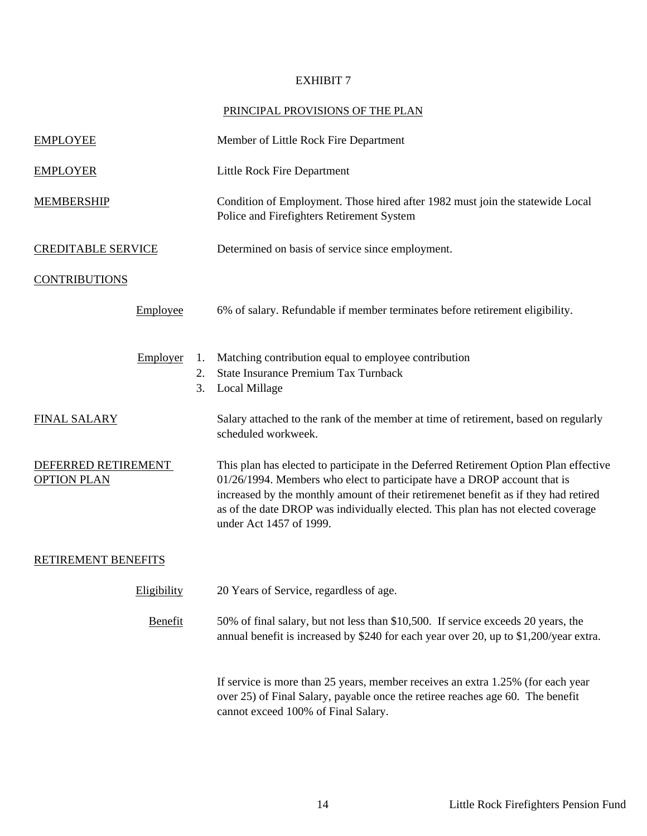#### PRINCIPAL PROVISIONS OF THE PLAN

| <b>EMPLOYEE</b>                           |             |                | Member of Little Rock Fire Department                                                                                                                                                                                                                                                                                                                                   |
|-------------------------------------------|-------------|----------------|-------------------------------------------------------------------------------------------------------------------------------------------------------------------------------------------------------------------------------------------------------------------------------------------------------------------------------------------------------------------------|
| <b>EMPLOYER</b>                           |             |                | Little Rock Fire Department                                                                                                                                                                                                                                                                                                                                             |
| <b>MEMBERSHIP</b>                         |             |                | Condition of Employment. Those hired after 1982 must join the statewide Local<br>Police and Firefighters Retirement System                                                                                                                                                                                                                                              |
| <b>CREDITABLE SERVICE</b>                 |             |                | Determined on basis of service since employment.                                                                                                                                                                                                                                                                                                                        |
| <b>CONTRIBUTIONS</b>                      |             |                |                                                                                                                                                                                                                                                                                                                                                                         |
|                                           | Employee    |                | 6% of salary. Refundable if member terminates before retirement eligibility.                                                                                                                                                                                                                                                                                            |
|                                           | Employer    | 1.<br>2.<br>3. | Matching contribution equal to employee contribution<br>State Insurance Premium Tax Turnback<br><b>Local Millage</b>                                                                                                                                                                                                                                                    |
| <b>FINAL SALARY</b>                       |             |                | Salary attached to the rank of the member at time of retirement, based on regularly<br>scheduled workweek.                                                                                                                                                                                                                                                              |
| DEFERRED RETIREMENT<br><b>OPTION PLAN</b> |             |                | This plan has elected to participate in the Deferred Retirement Option Plan effective<br>01/26/1994. Members who elect to participate have a DROP account that is<br>increased by the monthly amount of their retiremenet benefit as if they had retired<br>as of the date DROP was individually elected. This plan has not elected coverage<br>under Act 1457 of 1999. |
| <b>RETIREMENT BENEFITS</b>                |             |                |                                                                                                                                                                                                                                                                                                                                                                         |
|                                           | Eligibility |                | 20 Years of Service, regardless of age.                                                                                                                                                                                                                                                                                                                                 |
|                                           | Benefit     |                | 50% of final salary, but not less than \$10,500. If service exceeds 20 years, the<br>annual benefit is increased by \$240 for each year over 20, up to \$1,200/year extra.                                                                                                                                                                                              |
|                                           |             |                | If service is more than 25 years, member receives an extra 1.25% (for each year<br>over 25) of Final Salary, payable once the retiree reaches age 60. The benefit<br>cannot exceed 100% of Final Salary.                                                                                                                                                                |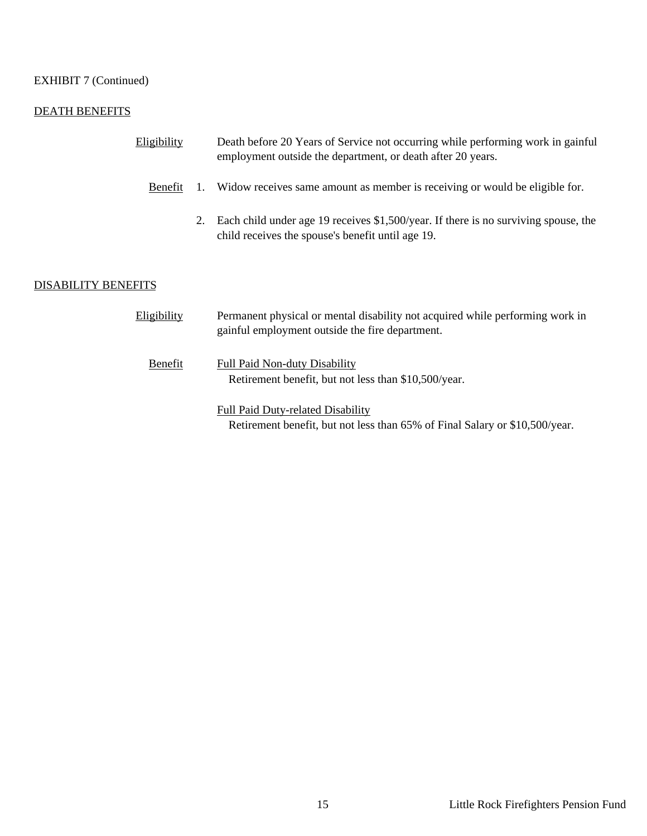#### EXHIBIT 7 (Continued)

#### DEATH BENEFITS

| Eligibility                |    | Death before 20 Years of Service not occurring while performing work in gainful<br>employment outside the department, or death after 20 years. |
|----------------------------|----|------------------------------------------------------------------------------------------------------------------------------------------------|
| Benefit                    | 1. | Widow receives same amount as member is receiving or would be eligible for.                                                                    |
|                            | 2. | Each child under age 19 receives \$1,500/year. If there is no surviving spouse, the<br>child receives the spouse's benefit until age 19.       |
|                            |    |                                                                                                                                                |
| <b>DISABILITY BENEFITS</b> |    |                                                                                                                                                |
| Eligibility                |    | Permanent physical or mental disability not acquired while performing work in<br>gainful employment outside the fire department.               |
| Benefit                    |    | <b>Full Paid Non-duty Disability</b><br>Retirement benefit, but not less than \$10,500/year.                                                   |
|                            |    | <b>Full Paid Duty-related Disability</b><br>Retirement benefit, but not less than 65% of Final Salary or \$10,500/year.                        |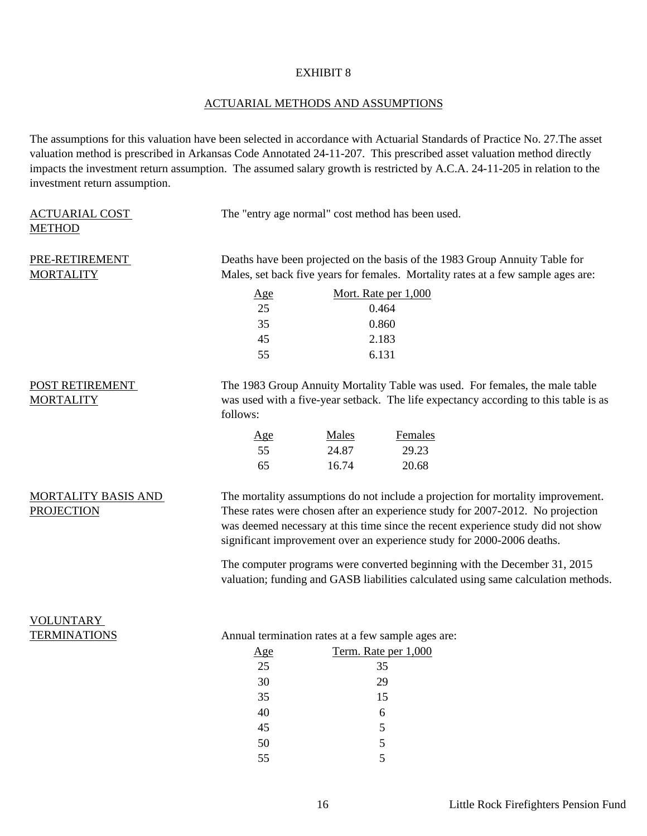#### ACTUARIAL METHODS AND ASSUMPTIONS

The assumptions for this valuation have been selected in accordance with Actuarial Standards of Practice No. 27.The asset valuation method is prescribed in Arkansas Code Annotated 24-11-207. This prescribed asset valuation method directly impacts the investment return assumption. The assumed salary growth is restricted by A.C.A. 24-11-205 in relation to the investment return assumption.

| <b>ACTUARIAL COST</b><br><b>METHOD</b>          | The "entry age normal" cost method has been used.                                                                                                                |              |                                                    |                                                                                                                                                                                                                                                                                                                                  |  |  |
|-------------------------------------------------|------------------------------------------------------------------------------------------------------------------------------------------------------------------|--------------|----------------------------------------------------|----------------------------------------------------------------------------------------------------------------------------------------------------------------------------------------------------------------------------------------------------------------------------------------------------------------------------------|--|--|
| PRE-RETIREMENT<br><b>MORTALITY</b>              | Deaths have been projected on the basis of the 1983 Group Annuity Table for<br>Males, set back five years for females. Mortality rates at a few sample ages are: |              |                                                    |                                                                                                                                                                                                                                                                                                                                  |  |  |
|                                                 | <u>Age</u>                                                                                                                                                       |              | Mort. Rate per 1,000                               |                                                                                                                                                                                                                                                                                                                                  |  |  |
|                                                 | 25                                                                                                                                                               |              | 0.464                                              |                                                                                                                                                                                                                                                                                                                                  |  |  |
|                                                 | 35                                                                                                                                                               |              | 0.860                                              |                                                                                                                                                                                                                                                                                                                                  |  |  |
|                                                 | 45<br>55                                                                                                                                                         |              | 2.183<br>6.131                                     |                                                                                                                                                                                                                                                                                                                                  |  |  |
| POST RETIREMENT<br><b>MORTALITY</b>             | follows:                                                                                                                                                         |              |                                                    | The 1983 Group Annuity Mortality Table was used. For females, the male table<br>was used with a five-year setback. The life expectancy according to this table is as                                                                                                                                                             |  |  |
|                                                 | Age                                                                                                                                                              | <b>Males</b> | Females                                            |                                                                                                                                                                                                                                                                                                                                  |  |  |
|                                                 | 55                                                                                                                                                               | 24.87        | 29.23                                              |                                                                                                                                                                                                                                                                                                                                  |  |  |
|                                                 | 65                                                                                                                                                               | 16.74        | 20.68                                              |                                                                                                                                                                                                                                                                                                                                  |  |  |
| <b>MORTALITY BASIS AND</b><br><b>PROJECTION</b> |                                                                                                                                                                  |              |                                                    | The mortality assumptions do not include a projection for mortality improvement.<br>These rates were chosen after an experience study for 2007-2012. No projection<br>was deemed necessary at this time since the recent experience study did not show<br>significant improvement over an experience study for 2000-2006 deaths. |  |  |
|                                                 |                                                                                                                                                                  |              |                                                    | The computer programs were converted beginning with the December 31, 2015<br>valuation; funding and GASB liabilities calculated using same calculation methods.                                                                                                                                                                  |  |  |
| <b>VOLUNTARY</b>                                |                                                                                                                                                                  |              |                                                    |                                                                                                                                                                                                                                                                                                                                  |  |  |
| <b>TERMINATIONS</b>                             |                                                                                                                                                                  |              | Annual termination rates at a few sample ages are: |                                                                                                                                                                                                                                                                                                                                  |  |  |
|                                                 | <u>Age</u>                                                                                                                                                       |              | Term. Rate per 1,000                               |                                                                                                                                                                                                                                                                                                                                  |  |  |
|                                                 | 25                                                                                                                                                               |              | 35                                                 |                                                                                                                                                                                                                                                                                                                                  |  |  |
|                                                 | 30                                                                                                                                                               |              | 29                                                 |                                                                                                                                                                                                                                                                                                                                  |  |  |
|                                                 | 35                                                                                                                                                               |              | 15                                                 |                                                                                                                                                                                                                                                                                                                                  |  |  |
|                                                 | 40                                                                                                                                                               |              | 6                                                  |                                                                                                                                                                                                                                                                                                                                  |  |  |
|                                                 | 45                                                                                                                                                               |              | 5                                                  |                                                                                                                                                                                                                                                                                                                                  |  |  |
|                                                 | 50                                                                                                                                                               |              | 5                                                  |                                                                                                                                                                                                                                                                                                                                  |  |  |
|                                                 | 55                                                                                                                                                               |              | 5                                                  |                                                                                                                                                                                                                                                                                                                                  |  |  |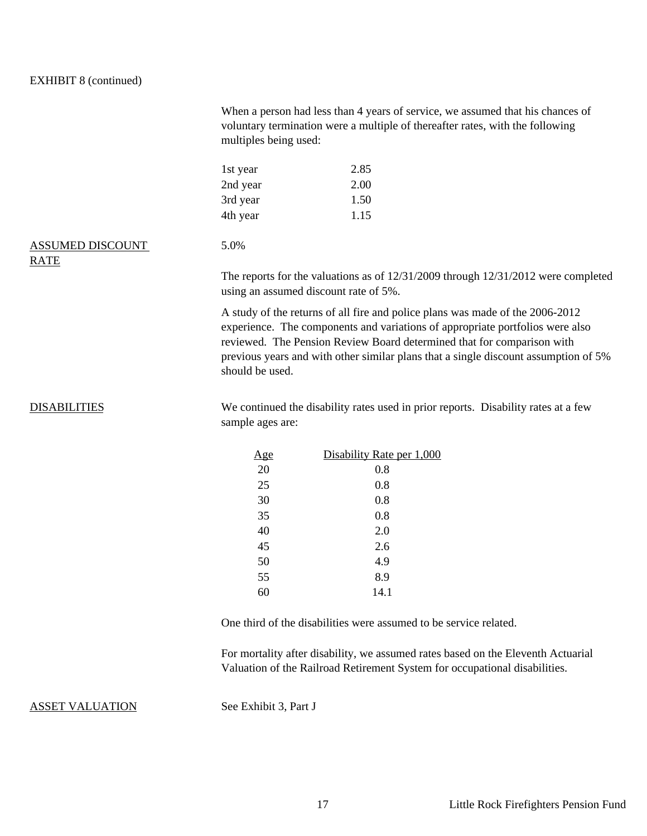#### EXHIBIT 8 (continued)

|                                        | When a person had less than 4 years of service, we assumed that his chances of<br>voluntary termination were a multiple of thereafter rates, with the following<br>multiples being used:                                                                                                                                        |                           |  |  |  |
|----------------------------------------|---------------------------------------------------------------------------------------------------------------------------------------------------------------------------------------------------------------------------------------------------------------------------------------------------------------------------------|---------------------------|--|--|--|
|                                        | 1st year                                                                                                                                                                                                                                                                                                                        | 2.85                      |  |  |  |
|                                        | 2nd year                                                                                                                                                                                                                                                                                                                        | 2.00                      |  |  |  |
|                                        | 3rd year                                                                                                                                                                                                                                                                                                                        | 1.50                      |  |  |  |
|                                        | 4th year                                                                                                                                                                                                                                                                                                                        | 1.15                      |  |  |  |
| <b>ASSUMED DISCOUNT</b><br><b>RATE</b> | 5.0%                                                                                                                                                                                                                                                                                                                            |                           |  |  |  |
|                                        | The reports for the valuations as of $12/31/2009$ through $12/31/2012$ were completed<br>using an assumed discount rate of 5%.                                                                                                                                                                                                  |                           |  |  |  |
|                                        | A study of the returns of all fire and police plans was made of the 2006-2012<br>experience. The components and variations of appropriate portfolios were also<br>reviewed. The Pension Review Board determined that for comparison with<br>previous years and with other similar plans that a single discount assumption of 5% |                           |  |  |  |
| <b>DISABILITIES</b>                    | We continued the disability rates used in prior reports. Disability rates at a few<br>sample ages are:                                                                                                                                                                                                                          |                           |  |  |  |
|                                        | <u>Age</u>                                                                                                                                                                                                                                                                                                                      | Disability Rate per 1,000 |  |  |  |
|                                        | 20                                                                                                                                                                                                                                                                                                                              | 0.8                       |  |  |  |
|                                        | 25                                                                                                                                                                                                                                                                                                                              | 0.8                       |  |  |  |
|                                        | 30                                                                                                                                                                                                                                                                                                                              | 0.8                       |  |  |  |
|                                        | 35                                                                                                                                                                                                                                                                                                                              | 0.8                       |  |  |  |
|                                        | 40                                                                                                                                                                                                                                                                                                                              | 2.0                       |  |  |  |

One third of the disabilities were assumed to be service related.

2.6 4.9 8.9 14.1

For mortality after disability, we assumed rates based on the Eleventh Actuarial Valuation of the Railroad Retirement System for occupational disabilities.

#### ASSET VALUATION See Exhibit 3, Part J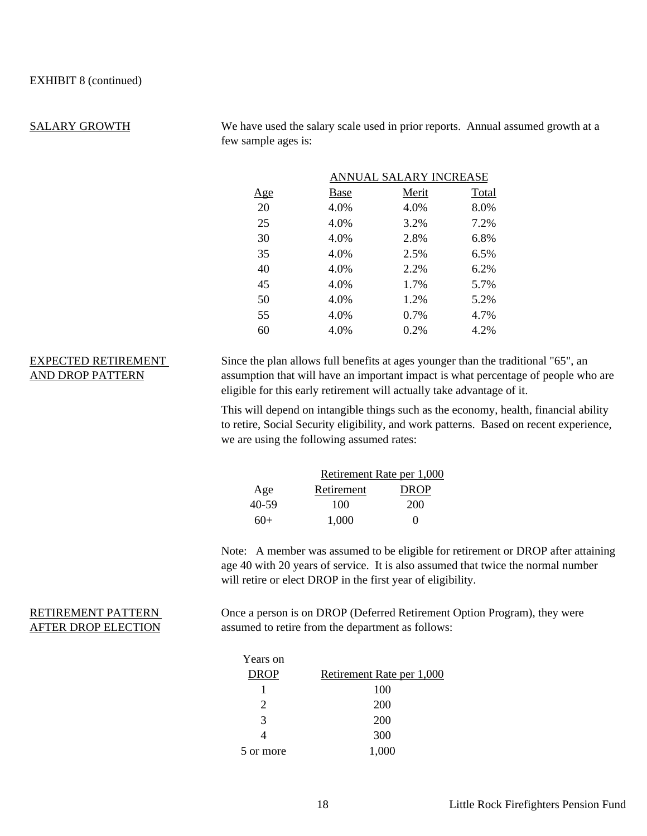#### SALARY GROWTH

We have used the salary scale used in prior reports. Annual assumed growth at a few sample ages is:

|            |      | ANNUAL SALARY INCREASE |       |  |  |  |  |  |
|------------|------|------------------------|-------|--|--|--|--|--|
| <u>Age</u> | Base | Merit                  | Total |  |  |  |  |  |
| 20         | 4.0% | 4.0%                   | 8.0%  |  |  |  |  |  |
| 25         | 4.0% | 3.2%                   | 7.2%  |  |  |  |  |  |
| 30         | 4.0% | 2.8%                   | 6.8%  |  |  |  |  |  |
| 35         | 4.0% | 2.5%                   | 6.5%  |  |  |  |  |  |
| 40         | 4.0% | 2.2%                   | 6.2%  |  |  |  |  |  |
| 45         | 4.0% | 1.7%                   | 5.7%  |  |  |  |  |  |
| 50         | 4.0% | 1.2%                   | 5.2%  |  |  |  |  |  |
| 55         | 4.0% | 0.7%                   | 4.7%  |  |  |  |  |  |
| 60         | 4.0% | 0.2%                   | 4.2%  |  |  |  |  |  |

#### EXPECTED RETIREMENT AND DROP PATTERN

Since the plan allows full benefits at ages younger than the traditional "65", an assumption that will have an important impact is what percentage of people who are eligible for this early retirement will actually take advantage of it.

This will depend on intangible things such as the economy, health, financial ability to retire, Social Security eligibility, and work patterns. Based on recent experience, we are using the following assumed rates:

|        | Retirement Rate per 1,000 |                   |  |  |  |
|--------|---------------------------|-------------------|--|--|--|
| Age    | Retirement                | <b>DROP</b>       |  |  |  |
| 40-59  | 100                       | 200               |  |  |  |
| $6()+$ | 1.000                     | $\mathbf{\Omega}$ |  |  |  |

Note: A member was assumed to be eligible for retirement or DROP after attaining age 40 with 20 years of service. It is also assumed that twice the normal number will retire or elect DROP in the first year of eligibility.

#### RETIREMENT PATTERN AFTER DROP ELECTION

Once a person is on DROP (Deferred Retirement Option Program), they were assumed to retire from the department as follows:

| Years on    |                           |
|-------------|---------------------------|
| <b>DROP</b> | Retirement Rate per 1,000 |
|             | 100                       |
| 2           | 200                       |
| 3           | 200                       |
|             | 300                       |
| 5 or more   | 1,000                     |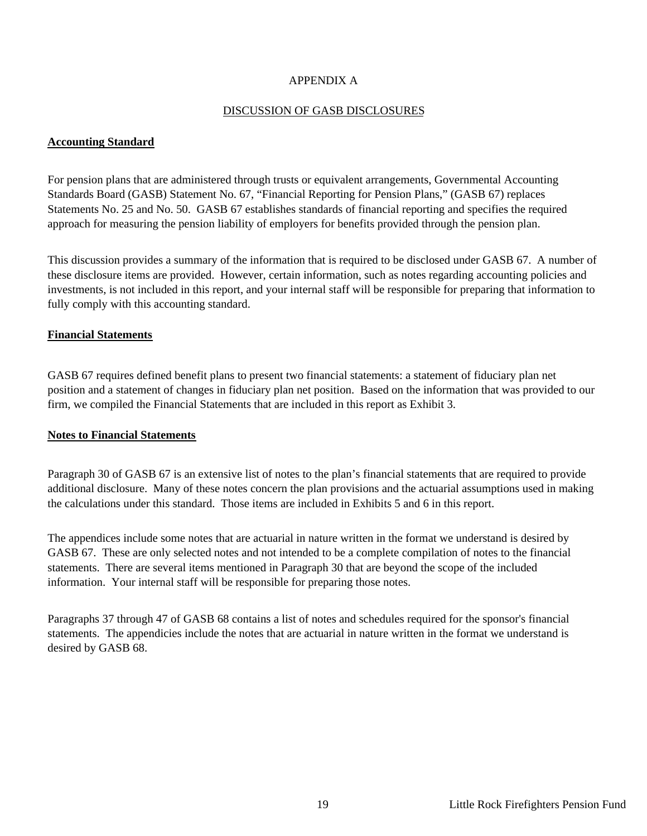#### APPENDIX A

#### DISCUSSION OF GASB DISCLOSURES

#### **Accounting Standard**

For pension plans that are administered through trusts or equivalent arrangements, Governmental Accounting Standards Board (GASB) Statement No. 67, "Financial Reporting for Pension Plans," (GASB 67) replaces Statements No. 25 and No. 50. GASB 67 establishes standards of financial reporting and specifies the required approach for measuring the pension liability of employers for benefits provided through the pension plan.

This discussion provides a summary of the information that is required to be disclosed under GASB 67. A number of these disclosure items are provided. However, certain information, such as notes regarding accounting policies and investments, is not included in this report, and your internal staff will be responsible for preparing that information to fully comply with this accounting standard.

#### **Financial Statements**

GASB 67 requires defined benefit plans to present two financial statements: a statement of fiduciary plan net position and a statement of changes in fiduciary plan net position. Based on the information that was provided to our firm, we compiled the Financial Statements that are included in this report as Exhibit 3.

#### **Notes to Financial Statements**

Paragraph 30 of GASB 67 is an extensive list of notes to the plan's financial statements that are required to provide additional disclosure. Many of these notes concern the plan provisions and the actuarial assumptions used in making the calculations under this standard. Those items are included in Exhibits 5 and 6 in this report.

The appendices include some notes that are actuarial in nature written in the format we understand is desired by GASB 67. These are only selected notes and not intended to be a complete compilation of notes to the financial statements. There are several items mentioned in Paragraph 30 that are beyond the scope of the included information. Your internal staff will be responsible for preparing those notes.

Paragraphs 37 through 47 of GASB 68 contains a list of notes and schedules required for the sponsor's financial statements. The appendicies include the notes that are actuarial in nature written in the format we understand is desired by GASB 68.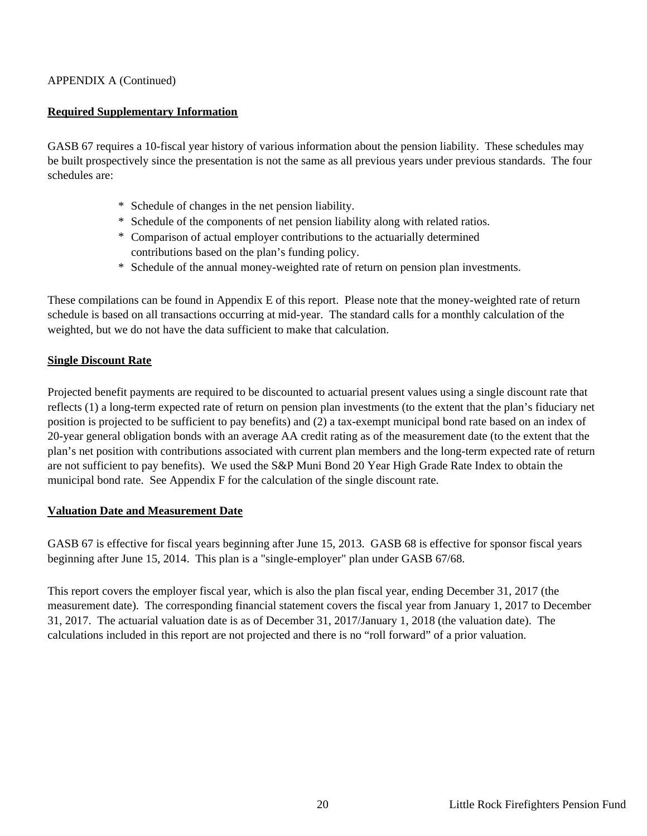#### APPENDIX A (Continued)

#### **Required Supplementary Information**

GASB 67 requires a 10-fiscal year history of various information about the pension liability. These schedules may be built prospectively since the presentation is not the same as all previous years under previous standards. The four schedules are:

- \* Schedule of changes in the net pension liability.
- \* Schedule of the components of net pension liability along with related ratios.
- \* Comparison of actual employer contributions to the actuarially determined contributions based on the plan's funding policy.
- \* Schedule of the annual money-weighted rate of return on pension plan investments.

These compilations can be found in Appendix E of this report. Please note that the money-weighted rate of return schedule is based on all transactions occurring at mid-year. The standard calls for a monthly calculation of the weighted, but we do not have the data sufficient to make that calculation.

#### **Single Discount Rate**

Projected benefit payments are required to be discounted to actuarial present values using a single discount rate that reflects (1) a long-term expected rate of return on pension plan investments (to the extent that the plan's fiduciary net position is projected to be sufficient to pay benefits) and (2) a tax-exempt municipal bond rate based on an index of 20-year general obligation bonds with an average AA credit rating as of the measurement date (to the extent that the plan's net position with contributions associated with current plan members and the long-term expected rate of return are not sufficient to pay benefits). We used the S&P Muni Bond 20 Year High Grade Rate Index to obtain the municipal bond rate. See Appendix F for the calculation of the single discount rate.

#### **Valuation Date and Measurement Date**

GASB 67 is effective for fiscal years beginning after June 15, 2013. GASB 68 is effective for sponsor fiscal years beginning after June 15, 2014. This plan is a "single-employer" plan under GASB 67/68.

This report covers the employer fiscal year, which is also the plan fiscal year, ending December 31, 2017 (the measurement date). The corresponding financial statement covers the fiscal year from January 1, 2017 to December 31, 2017. The actuarial valuation date is as of December 31, 2017/January 1, 2018 (the valuation date). The calculations included in this report are not projected and there is no "roll forward" of a prior valuation.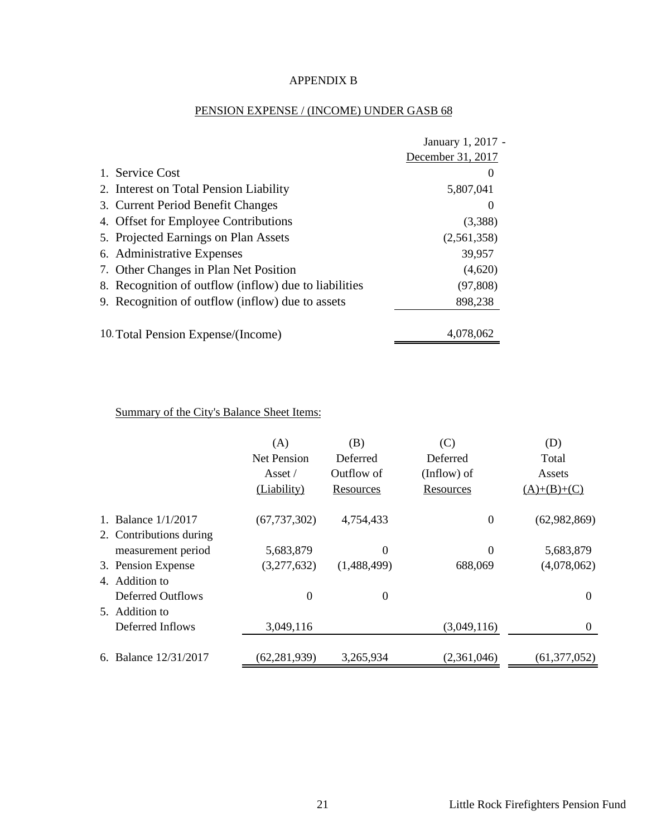#### APPENDIX B

#### PENSION EXPENSE / (INCOME) UNDER GASB 68

|                                                       | January 1, 2017 - |
|-------------------------------------------------------|-------------------|
|                                                       | December 31, 2017 |
| 1. Service Cost                                       | $\theta$          |
| 2. Interest on Total Pension Liability                | 5,807,041         |
| 3. Current Period Benefit Changes                     | $\theta$          |
| 4. Offset for Employee Contributions                  | (3,388)           |
| 5. Projected Earnings on Plan Assets                  | (2,561,358)       |
| 6. Administrative Expenses                            | 39,957            |
| 7. Other Changes in Plan Net Position                 | (4,620)           |
| 8. Recognition of outflow (inflow) due to liabilities | (97, 808)         |
| 9. Recognition of outflow (inflow) due to assets      | 898,238           |
| 10 Total Pension Expense/(Income)                     | 4.078.062         |

Summary of the City's Balance Sheet Items:

|                          | (A)                   | (B)            | (C)              | (D)            |
|--------------------------|-----------------------|----------------|------------------|----------------|
|                          | <b>Net Pension</b>    | Deferred       | Deferred         | Total          |
|                          | $\text{A}\text{sset}$ | Outflow of     | (Inflow) of      | Assets         |
|                          | (Liability)           | Resources      | Resources        | $(A)+(B)+(C)$  |
| 1. Balance 1/1/2017      | (67, 737, 302)        | 4,754,433      | $\boldsymbol{0}$ | (62,982,869)   |
| 2. Contributions during  |                       |                |                  |                |
| measurement period       | 5,683,879             | $\Omega$       | $\Omega$         | 5,683,879      |
| 3. Pension Expense       | (3,277,632)           | (1,488,499)    | 688,069          | (4,078,062)    |
| 4. Addition to           |                       |                |                  |                |
| <b>Deferred Outflows</b> | $\theta$              | $\overline{0}$ |                  | $\Omega$       |
| 5. Addition to           |                       |                |                  |                |
| Deferred Inflows         | 3,049,116             |                | (3,049,116)      | $\Omega$       |
| 6. Balance 12/31/2017    | (62, 281, 939)        | 3,265,934      | (2,361,046)      | (61, 377, 052) |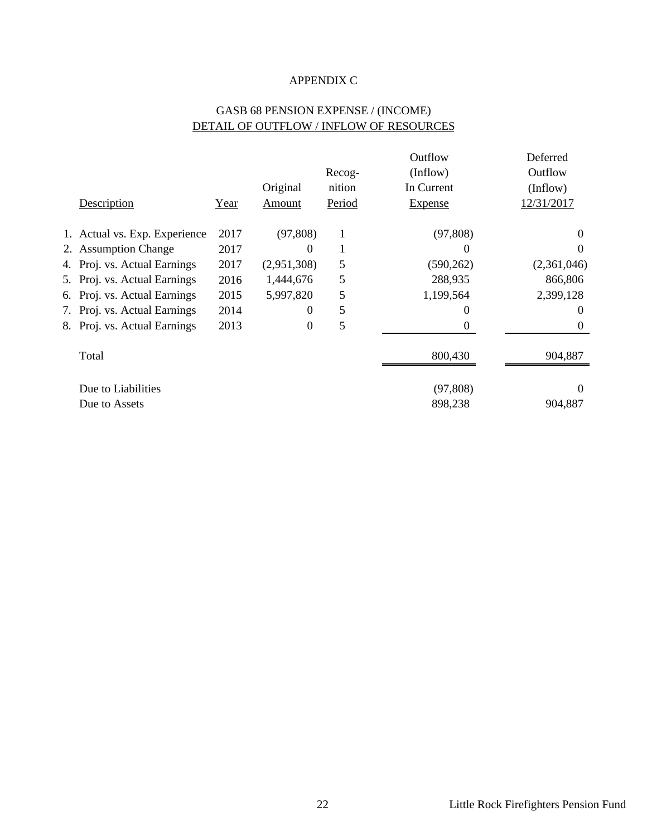#### APPENDIX C

#### GASB 68 PENSION EXPENSE / (INCOME) DETAIL OF OUTFLOW / INFLOW OF RESOURCES

|                               |      |             |        | Outflow        | Deferred    |
|-------------------------------|------|-------------|--------|----------------|-------------|
|                               |      |             | Recog- | (Inflow)       | Outflow     |
|                               |      | Original    | nition | In Current     | (Inflow)    |
| Description                   | Year | Amount      | Period | <b>Expense</b> | 12/31/2017  |
| 1. Actual vs. Exp. Experience | 2017 | (97, 808)   | 1      | (97, 808)      | $\Omega$    |
| 2. Assumption Change          | 2017 | $\theta$    |        | 0              | 0           |
| 4. Proj. vs. Actual Earnings  | 2017 | (2,951,308) | 5      | (590, 262)     | (2,361,046) |
| 5. Proj. vs. Actual Earnings  | 2016 | 1,444,676   | 5      | 288,935        | 866,806     |
| 6. Proj. vs. Actual Earnings  | 2015 | 5,997,820   | 5      | 1,199,564      | 2,399,128   |
| 7. Proj. vs. Actual Earnings  | 2014 | $\theta$    | 5      | 0              | $\theta$    |
| 8. Proj. vs. Actual Earnings  | 2013 | $\Omega$    | 5      | $\theta$       | $\Omega$    |
| Total                         |      |             |        | 800,430        | 904,887     |
| Due to Liabilities            |      |             |        | (97, 808)      | $\Omega$    |
| Due to Assets                 |      |             |        | 898,238        | 904,887     |
|                               |      |             |        |                |             |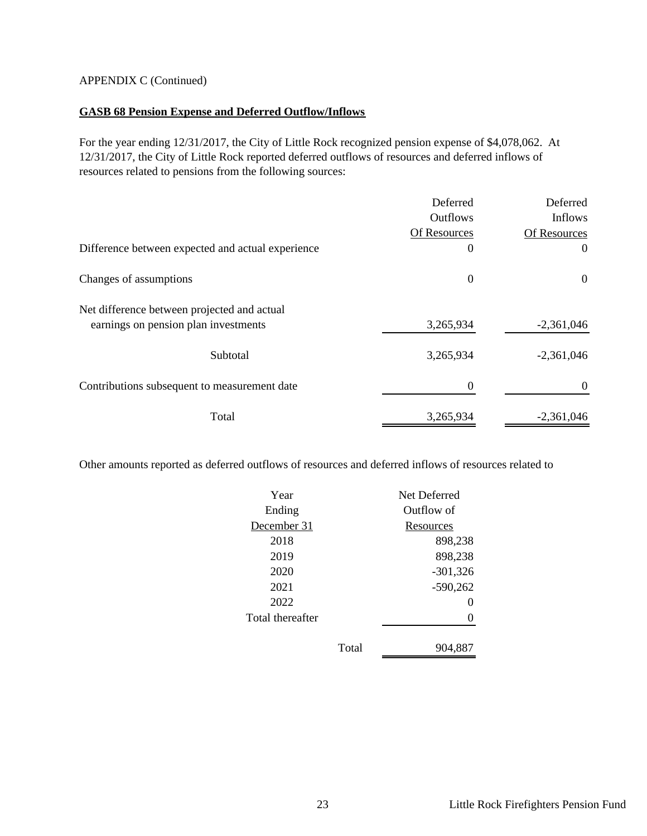#### APPENDIX C (Continued)

#### **GASB 68 Pension Expense and Deferred Outflow/Inflows**

For the year ending 12/31/2017, the City of Little Rock recognized pension expense of \$4,078,062. At 12/31/2017, the City of Little Rock reported deferred outflows of resources and deferred inflows of resources related to pensions from the following sources:

|                                                   | Deferred        | Deferred     |
|---------------------------------------------------|-----------------|--------------|
|                                                   | <b>Outflows</b> | Inflows      |
|                                                   | Of Resources    | Of Resources |
| Difference between expected and actual experience | $\theta$        | $\theta$     |
| Changes of assumptions                            | $\mathbf{0}$    | $\theta$     |
| Net difference between projected and actual       |                 |              |
| earnings on pension plan investments              | 3,265,934       | $-2,361,046$ |
| Subtotal                                          | 3,265,934       | $-2,361,046$ |
| Contributions subsequent to measurement date      | 0               | $\theta$     |
| Total                                             | 3,265,934       | $-2,361,046$ |

Other amounts reported as deferred outflows of resources and deferred inflows of resources related to

| Year             |       | Net Deferred      |  |  |
|------------------|-------|-------------------|--|--|
| Ending           |       | Outflow of        |  |  |
| December 31      |       | Resources         |  |  |
| 2018             |       | 898,238           |  |  |
| 2019             |       | 898,238           |  |  |
| 2020             |       | $-301,326$        |  |  |
| 2021             |       | $-590,262$        |  |  |
| 2022             |       | $\mathbf{\Omega}$ |  |  |
| Total thereafter |       |                   |  |  |
|                  |       |                   |  |  |
|                  | Total | 904.887           |  |  |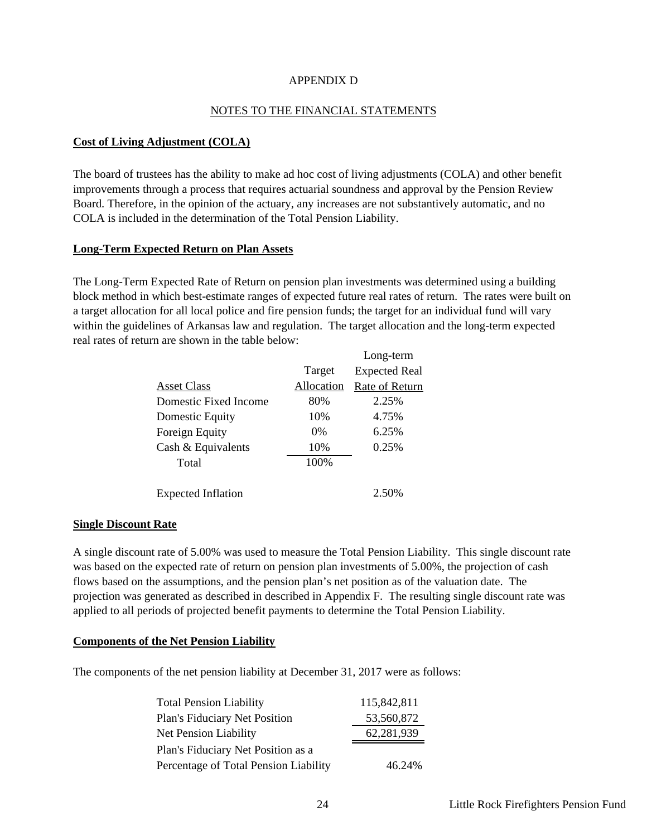#### APPENDIX D

#### NOTES TO THE FINANCIAL STATEMENTS

#### **Cost of Living Adjustment (COLA)**

The board of trustees has the ability to make ad hoc cost of living adjustments (COLA) and other benefit improvements through a process that requires actuarial soundness and approval by the Pension Review Board. Therefore, in the opinion of the actuary, any increases are not substantively automatic, and no COLA is included in the determination of the Total Pension Liability.

#### **Long-Term Expected Return on Plan Assets**

The Long-Term Expected Rate of Return on pension plan investments was determined using a building block method in which best-estimate ranges of expected future real rates of return. The rates were built on a target allocation for all local police and fire pension funds; the target for an individual fund will vary within the guidelines of Arkansas law and regulation. The target allocation and the long-term expected real rates of return are shown in the table below:

|                           |            | Long-term            |
|---------------------------|------------|----------------------|
|                           | Target     | <b>Expected Real</b> |
| <b>Asset Class</b>        | Allocation | Rate of Return       |
| Domestic Fixed Income     | 80%        | 2.25%                |
| Domestic Equity           | 10%        | 4.75%                |
| Foreign Equity            | $0\%$      | 6.25%                |
| Cash & Equivalents        | 10%        | 0.25%                |
| Total                     | 100%       |                      |
|                           |            |                      |
| <b>Expected Inflation</b> |            | 2.50%                |
|                           |            |                      |

#### **Single Discount Rate** based on the assumption of the pension plan s net position plan s net position as of the value of the projection was general the projection was general the projection was general the value of the projection was general the

A single discount rate of 5.00% was used to measure the Total Pension Liability. This single discount rate was based on the expected rate of return on pension plan investments of 5.00%, the projection of cash flows based on the assumptions, and the pension plan's net position as of the valuation date. The projection was generated as described in described in Appendix F. The resulting single discount rate was applied to all periods of projected benefit payments to determine the Total Pension Liability.

#### **Components of the Net Pension Liability**

The components of the net pension liability at December 31, 2017 were as follows:

| <b>Total Pension Liability</b>        | 115,842,811 |
|---------------------------------------|-------------|
| Plan's Fiduciary Net Position         | 53,560,872  |
| <b>Net Pension Liability</b>          | 62,281,939  |
| Plan's Fiduciary Net Position as a    |             |
| Percentage of Total Pension Liability | 46.24%      |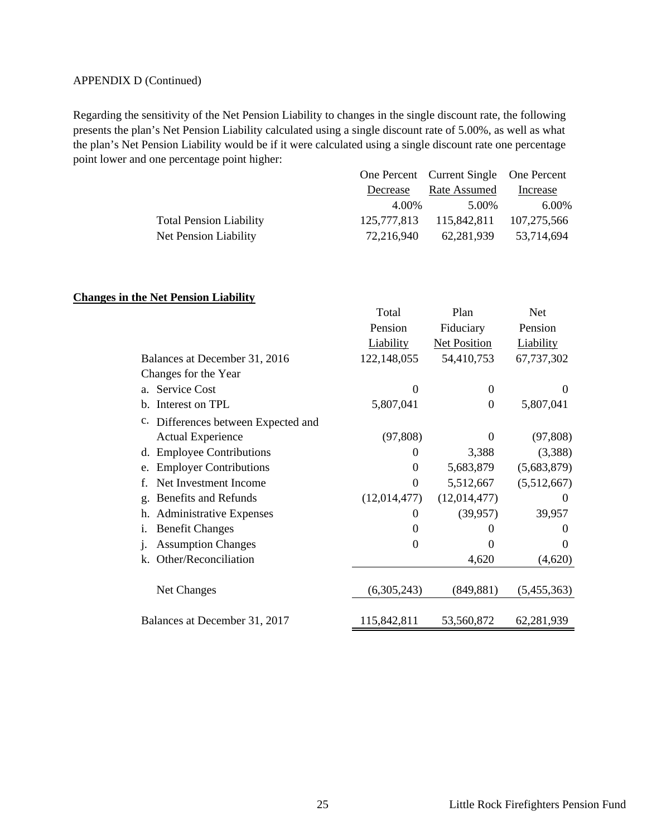#### APPENDIX D (Continued)

Regarding the sensitivity of the Net Pension Liability to changes in the single discount rate, the following presents the plan's Net Pension Liability calculated using a single discount rate of 5.00%, as well as what the plan's Net Pension Liability would be if it were calculated using a single discount rate one percentage point lower and one percentage point higher:

|                                |             | One Percent Current Single One Percent |            |
|--------------------------------|-------------|----------------------------------------|------------|
|                                | Decrease    | Rate Assumed                           | Increase   |
|                                | 4.00%       | 5.00%                                  | 6.00%      |
| <b>Total Pension Liability</b> | 125,777,813 | 115,842,811 107,275,566                |            |
| Net Pension Liability          | 72,216,940  | 62,281,939                             | 53,714,694 |

#### **Changes in the Net Pension Liability**

|                                                    | Total            | Plan                | <b>Net</b>  |
|----------------------------------------------------|------------------|---------------------|-------------|
|                                                    | Pension          | Fiduciary           | Pension     |
|                                                    | <b>Liability</b> | <b>Net Position</b> | Liability   |
| Balances at December 31, 2016                      | 122,148,055      | 54,410,753          | 67,737,302  |
| Changes for the Year                               |                  |                     |             |
| <b>Service Cost</b><br>a.                          | $\Omega$         | $\theta$            | $\Omega$    |
| Interest on TPL<br>b.                              | 5,807,041        | $\boldsymbol{0}$    | 5,807,041   |
| $\mathbf{c}$ .<br>Differences between Expected and |                  |                     |             |
| <b>Actual Experience</b>                           | (97, 808)        | $\theta$            | (97, 808)   |
| d. Employee Contributions                          | $\Omega$         | 3,388               | (3,388)     |
| <b>Employer Contributions</b><br>e.                | $\Omega$         | 5,683,879           | (5,683,879) |
| Net Investment Income<br>f.                        | $\theta$         | 5,512,667           | (5,512,667) |
| Benefits and Refunds<br>g.                         | (12,014,477)     | (12,014,477)        | $\Omega$    |
| <b>Administrative Expenses</b><br>h.               | 0                | (39, 957)           | 39,957      |
| <b>Benefit Changes</b><br>1.                       | $\Omega$         | $\theta$            | $\theta$    |
| <b>Assumption Changes</b>                          | $\theta$         | $\Omega$            | 0           |
| Other/Reconciliation<br>k.                         |                  | 4,620               | (4,620)     |
|                                                    |                  |                     |             |
| Net Changes                                        | (6,305,243)      | (849, 881)          | (5,455,363) |
|                                                    |                  |                     |             |
| Balances at December 31, 2017                      | 115,842,811      | 53,560,872          | 62,281,939  |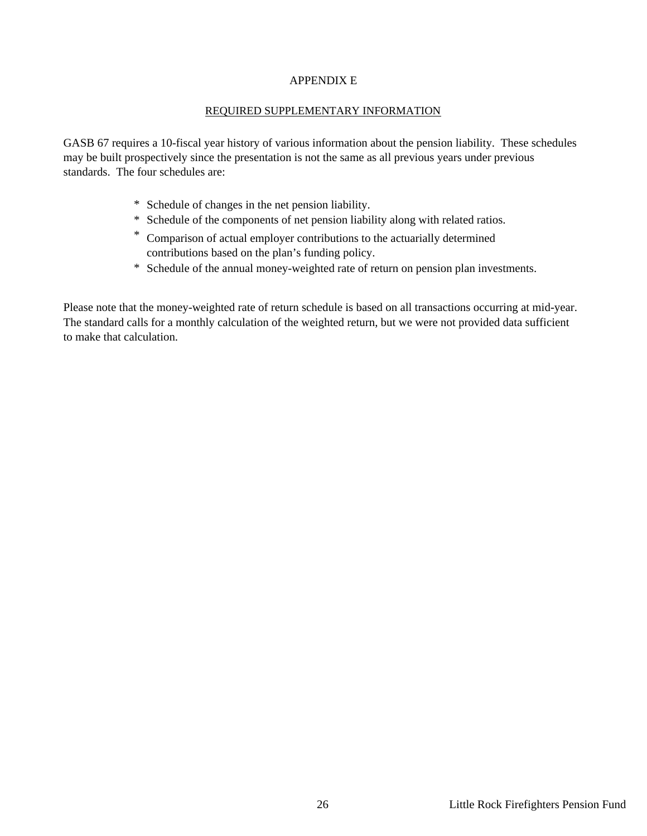#### APPENDIX E

#### REQUIRED SUPPLEMENTARY INFORMATION

GASB 67 requires a 10-fiscal year history of various information about the pension liability. These schedules may be built prospectively since the presentation is not the same as all previous years under previous standards. The four schedules are:

- \* Schedule of changes in the net pension liability.
- \* Schedule of the components of net pension liability along with related ratios.
- \* Comparison of actual employer contributions to the actuarially determined contributions based on the plan's funding policy.
- \* Schedule of the annual money-weighted rate of return on pension plan investments.

Please note that the money-weighted rate of return schedule is based on all transactions occurring at mid-year. The standard calls for a monthly calculation of the weighted return, but we were not provided data sufficient to make that calculation.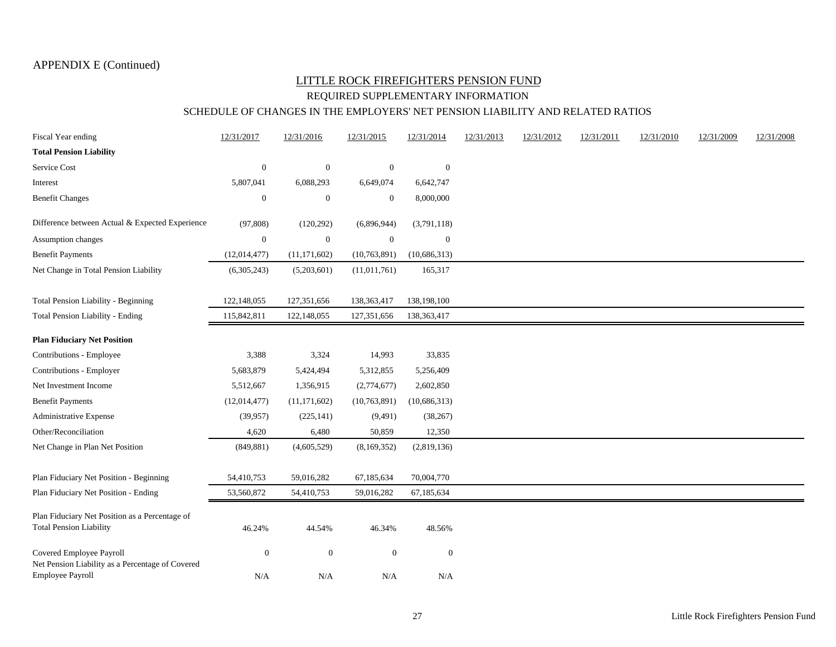#### LITTLE ROCK FIREFIGHTERS PENSION FUND REQUIRED SUPPLEMENTARY INFORMATION SCHEDULE OF CHANGES IN THE EMPLOYERS' NET PENSION LIABILITY AND RELATED RATIOS

| Fiscal Year ending                                                               | 12/31/2017       | 12/31/2016       | 12/31/2015       | 12/31/2014       | 12/31/2013 | 12/31/2012 | 12/31/2011 | 12/31/2010 | 12/31/2009 | 12/31/2008 |
|----------------------------------------------------------------------------------|------------------|------------------|------------------|------------------|------------|------------|------------|------------|------------|------------|
| <b>Total Pension Liability</b>                                                   |                  |                  |                  |                  |            |            |            |            |            |            |
| Service Cost                                                                     | $\boldsymbol{0}$ | $\boldsymbol{0}$ | $\boldsymbol{0}$ | $\boldsymbol{0}$ |            |            |            |            |            |            |
| Interest                                                                         | 5,807,041        | 6,088,293        | 6,649,074        | 6,642,747        |            |            |            |            |            |            |
| <b>Benefit Changes</b>                                                           | $\boldsymbol{0}$ | $\overline{0}$   | $\boldsymbol{0}$ | 8,000,000        |            |            |            |            |            |            |
| Difference between Actual & Expected Experience                                  | (97, 808)        | (120, 292)       | (6,896,944)      | (3,791,118)      |            |            |            |            |            |            |
| Assumption changes                                                               | $\boldsymbol{0}$ | $\boldsymbol{0}$ | $\boldsymbol{0}$ | $\boldsymbol{0}$ |            |            |            |            |            |            |
| <b>Benefit Payments</b>                                                          | (12, 014, 477)   | (11, 171, 602)   | (10,763,891)     | (10,686,313)     |            |            |            |            |            |            |
| Net Change in Total Pension Liability                                            | (6,305,243)      | (5,203,601)      | (11,011,761)     | 165,317          |            |            |            |            |            |            |
| <b>Total Pension Liability - Beginning</b>                                       | 122,148,055      | 127,351,656      | 138,363,417      | 138,198,100      |            |            |            |            |            |            |
| Total Pension Liability - Ending                                                 | 115,842,811      | 122,148,055      | 127,351,656      | 138,363,417      |            |            |            |            |            |            |
| <b>Plan Fiduciary Net Position</b>                                               |                  |                  |                  |                  |            |            |            |            |            |            |
| Contributions - Employee                                                         | 3,388            | 3,324            | 14,993           | 33,835           |            |            |            |            |            |            |
| Contributions - Employer                                                         | 5,683,879        | 5,424,494        | 5,312,855        | 5,256,409        |            |            |            |            |            |            |
| Net Investment Income                                                            | 5,512,667        | 1,356,915        | (2,774,677)      | 2,602,850        |            |            |            |            |            |            |
| <b>Benefit Payments</b>                                                          | (12,014,477)     | (11, 171, 602)   | (10,763,891)     | (10,686,313)     |            |            |            |            |            |            |
| Administrative Expense                                                           | (39, 957)        | (225, 141)       | (9,491)          | (38, 267)        |            |            |            |            |            |            |
| Other/Reconciliation                                                             | 4,620            | 6,480            | 50,859           | 12,350           |            |            |            |            |            |            |
| Net Change in Plan Net Position                                                  | (849, 881)       | (4,605,529)      | (8,169,352)      | (2,819,136)      |            |            |            |            |            |            |
| Plan Fiduciary Net Position - Beginning                                          | 54,410,753       | 59,016,282       | 67,185,634       | 70,004,770       |            |            |            |            |            |            |
| Plan Fiduciary Net Position - Ending                                             | 53,560,872       | 54,410,753       | 59,016,282       | 67,185,634       |            |            |            |            |            |            |
| Plan Fiduciary Net Position as a Percentage of<br><b>Total Pension Liability</b> | 46.24%           | 44.54%           | 46.34%           | 48.56%           |            |            |            |            |            |            |
| Covered Employee Payroll<br>Net Pension Liability as a Percentage of Covered     | $\boldsymbol{0}$ | $\boldsymbol{0}$ | $\boldsymbol{0}$ | $\boldsymbol{0}$ |            |            |            |            |            |            |
| Employee Payroll                                                                 | N/A              | N/A              | N/A              | N/A              |            |            |            |            |            |            |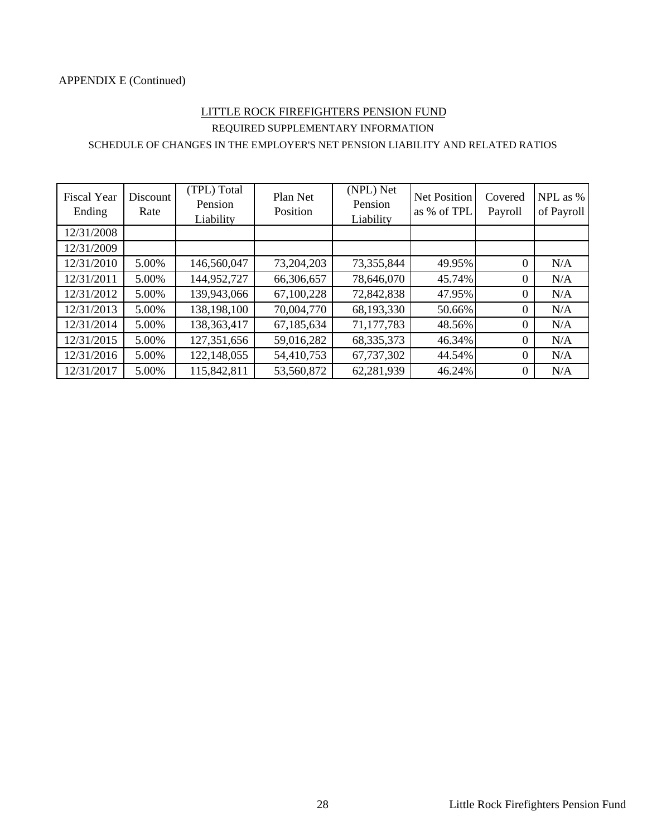#### APPENDIX E (Continued)

#### REQUIRED SUPPLEMENTARY INFORMATION LITTLE ROCK FIREFIGHTERS PENSION FUND

#### SCHEDULE OF CHANGES IN THE EMPLOYER'S NET PENSION LIABILITY AND RELATED RATIOS

| <b>Fiscal Year</b><br>Ending | Discount<br>Rate | (TPL) Total<br>Pension<br>Liability | Plan Net<br>Position | (NPL) Net<br>Pension<br>Liability | <b>Net Position</b><br>as % of TPL | Covered<br>Payroll | NPL as %<br>of Payroll |
|------------------------------|------------------|-------------------------------------|----------------------|-----------------------------------|------------------------------------|--------------------|------------------------|
| 12/31/2008                   |                  |                                     |                      |                                   |                                    |                    |                        |
| 12/31/2009                   |                  |                                     |                      |                                   |                                    |                    |                        |
| 12/31/2010                   | 5.00%            | 146,560,047                         | 73,204,203           | 73,355,844                        | 49.95%                             | $\boldsymbol{0}$   | N/A                    |
| 12/31/2011                   | 5.00%            | 144,952,727                         | 66,306,657           | 78,646,070                        | 45.74%                             | $\overline{0}$     | N/A                    |
| 12/31/2012                   | 5.00%            | 139,943,066                         | 67,100,228           | 72,842,838                        | 47.95%                             | $\theta$           | N/A                    |
| 12/31/2013                   | 5.00%            | 138,198,100                         | 70,004,770           | 68,193,330                        | 50.66%                             | $\theta$           | N/A                    |
| 12/31/2014                   | 5.00%            | 138,363,417                         | 67,185,634           | 71,177,783                        | 48.56%                             | $\Omega$           | N/A                    |
| 12/31/2015                   | 5.00%            | 127,351,656                         | 59,016,282           | 68, 335, 373                      | 46.34%                             | $\theta$           | N/A                    |
| 12/31/2016                   | 5.00%            | 122,148,055                         | 54,410,753           | 67,737,302                        | 44.54%                             | $\Omega$           | N/A                    |
| 12/31/2017                   | 5.00%            | 115,842,811                         | 53,560,872           | 62,281,939                        | 46.24%                             | $\overline{0}$     | N/A                    |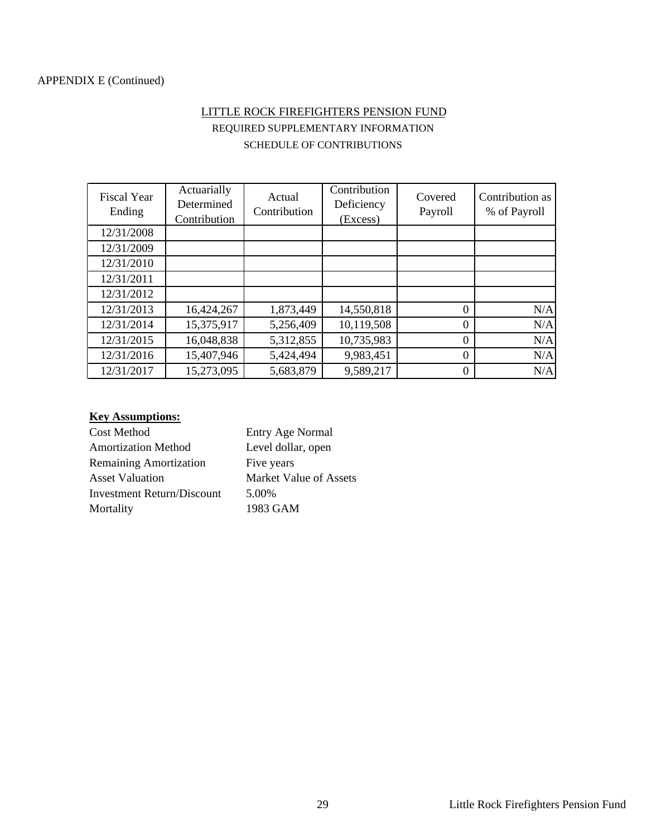## LITTLE ROCK FIREFIGHTERS PENSION FUND REQUIRED SUPPLEMENTARY INFORMATION SCHEDULE OF CONTRIBUTIONS

| <b>Fiscal Year</b><br>Ending | Actuarially<br>Determined<br>Contribution | Actual<br>Contribution | Contribution<br>Deficiency<br>(Excess) | Covered<br>Payroll | Contribution as<br>% of Payroll |
|------------------------------|-------------------------------------------|------------------------|----------------------------------------|--------------------|---------------------------------|
| 12/31/2008                   |                                           |                        |                                        |                    |                                 |
| 12/31/2009                   |                                           |                        |                                        |                    |                                 |
| 12/31/2010                   |                                           |                        |                                        |                    |                                 |
| 12/31/2011                   |                                           |                        |                                        |                    |                                 |
| 12/31/2012                   |                                           |                        |                                        |                    |                                 |
| 12/31/2013                   | 16,424,267                                | 1,873,449              | 14,550,818                             | $\theta$           | N/A                             |
| 12/31/2014                   | 15,375,917                                | 5,256,409              | 10,119,508                             | $\theta$           | N/A                             |
| 12/31/2015                   | 16,048,838                                | 5,312,855              | 10,735,983                             | $\theta$           | N/A                             |
| 12/31/2016                   | 15,407,946                                | 5,424,494              | 9,983,451                              | $\theta$           | N/A                             |
| 12/31/2017                   | 15,273,095                                | 5,683,879              | 9,589,217                              | $\theta$           | N/A                             |

#### **Key Assumptions:**

| Cost Method                   | Entry Age Normal       |
|-------------------------------|------------------------|
| <b>Amortization Method</b>    | Level dollar, open     |
| <b>Remaining Amortization</b> | Five years             |
| <b>Asset Valuation</b>        | Market Value of Assets |
| Investment Return/Discount    | 5.00%                  |
| Mortality                     | 1983 GAM               |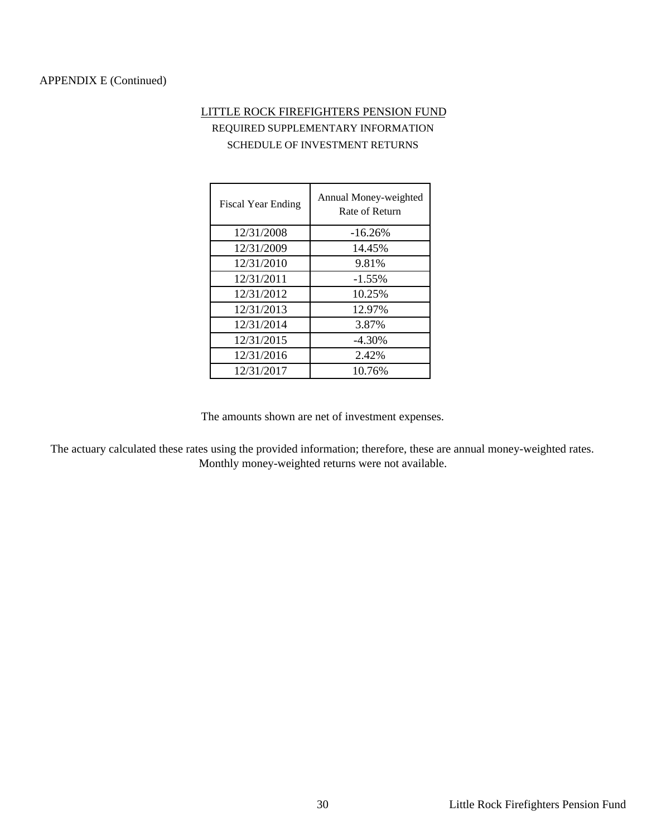#### APPENDIX E (Continued)

## LITTLE ROCK FIREFIGHTERS PENSION FUND REQUIRED SUPPLEMENTARY INFORMATION SCHEDULE OF INVESTMENT RETURNS

| <b>Fiscal Year Ending</b> | Annual Money-weighted<br>Rate of Return |
|---------------------------|-----------------------------------------|
| 12/31/2008                | $-16.26%$                               |
| 12/31/2009                | 14.45%                                  |
| 12/31/2010                | 9.81%                                   |
| 12/31/2011                | $-1.55%$                                |
| 12/31/2012                | 10.25%                                  |
| 12/31/2013                | 12.97%                                  |
| 12/31/2014                | 3.87%                                   |
| 12/31/2015                | $-4.30\%$                               |
| 12/31/2016                | 2.42%                                   |
| 12/31/2017                | 10.76%                                  |

The amounts shown are net of investment expenses.

The actuary calculated these rates using the provided information; therefore, these are annual money-weighted rates. Monthly money-weighted returns were not available.